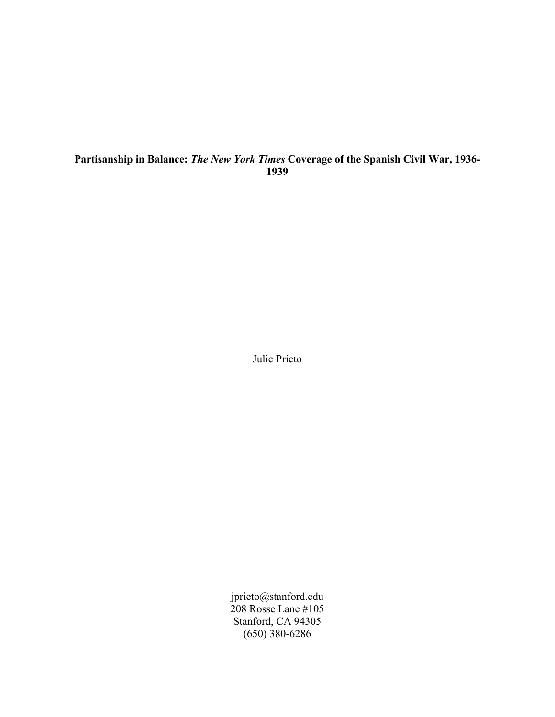# Partisanship in Balance: *The New York Times* Coverage of the Spanish Civil War, 1936- 1939

Julie Prieto

jprieto@stanford.edu 208 Rosse Lane #105 Stanford, CA 94305 (650) 380-6286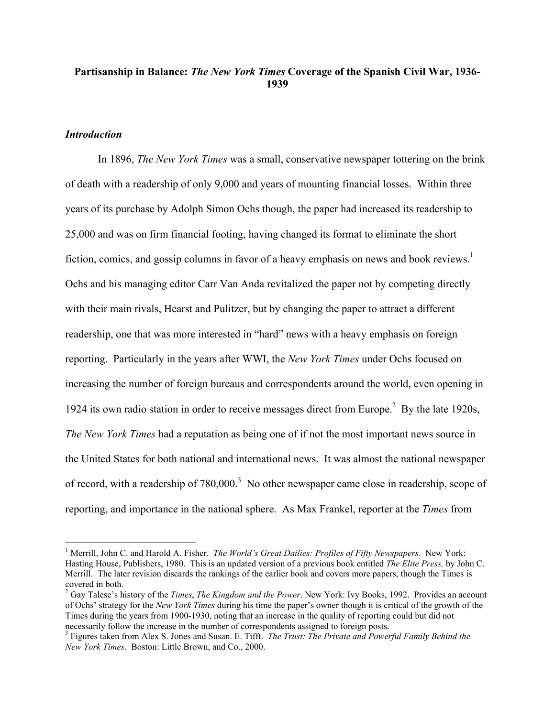# Partisanship in Balance: *The New York Times* Coverage of the Spanish Civil War, 1936- 1939

### *Introduction*

 $\overline{a}$ 

In 1896, *The New York Times* was a small, conservative newspaper tottering on the brink of death with a readership of only 9,000 and years of mounting financial losses. Within three years of its purchase by Adolph Simon Ochs though, the paper had increased its readership to 25,000 and was on firm financial footing, having changed its format to eliminate the short fiction, comics, and gossip columns in favor of a heavy emphasis on news and book reviews.<sup>1</sup> Ochs and his managing editor Carr Van Anda revitalized the paper not by competing directly with their main rivals, Hearst and Pulitzer, but by changing the paper to attract a different readership, one that was more interested in "hard" news with a heavy emphasis on foreign reporting. Particularly in the years after WWI, the *New York Times* under Ochs focused on increasing the number of foreign bureaus and correspondents around the world, even opening in 1924 its own radio station in order to receive messages direct from Europe.<sup>2</sup> By the late 1920s, *The New York Times* had a reputation as being one of if not the most important news source in the United States for both national and international news. It was almost the national newspaper of record, with a readership of  $780,000$ <sup>3</sup>. No other newspaper came close in readership, scope of reporting, and importance in the national sphere. As Max Frankel, reporter at the *Times* from

<sup>&</sup>lt;sup>1</sup> Merrill, John C. and Harold A. Fisher. *The World's Great Dailies: Profiles of Fifty Newspapers*. New York: Hasting House, Publishers, 1980. This is an updated version of a previous book entitled *The Elite Press,* by John C. Merrill. The later revision discards the rankings of the earlier book and covers more papers, though the Times is covered in both.

<sup>2</sup> Gay Talese's history of the *Times*, *The Kingdom and the Power*. New York: Ivy Books, 1992. Provides an account of Ochs' strategy for the *New York Times* during his time the paper's owner though it is critical of the growth of the Times during the years from 1900-1930, noting that an increase in the quality of reporting could but did not necessarily follow the increase in the number of correspondents assigned to foreign posts.

<sup>3</sup> Figures taken from Alex S. Jones and Susan. E. Tifft. *The Trust: The Private and Powerful Family Behind the New York Times*. Boston: Little Brown, and Co., 2000.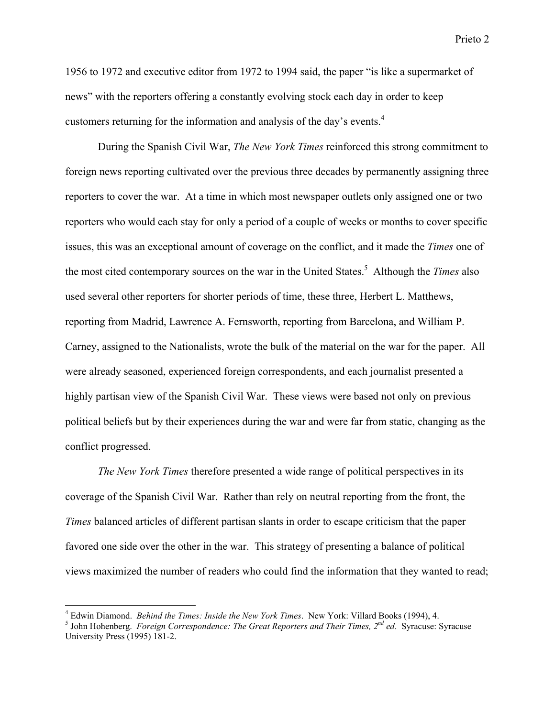1956 to 1972 and executive editor from 1972 to 1994 said, the paper "is like a supermarket of news" with the reporters offering a constantly evolving stock each day in order to keep customers returning for the information and analysis of the day's events.<sup>4</sup>

During the Spanish Civil War, *The New York Times* reinforced this strong commitment to foreign news reporting cultivated over the previous three decades by permanently assigning three reporters to cover the war. At a time in which most newspaper outlets only assigned one or two reporters who would each stay for only a period of a couple of weeks or months to cover specific issues, this was an exceptional amount of coverage on the conflict, and it made the *Times* one of the most cited contemporary sources on the war in the United States.5 Although the *Times* also used several other reporters for shorter periods of time, these three, Herbert L. Matthews, reporting from Madrid, Lawrence A. Fernsworth, reporting from Barcelona, and William P. Carney, assigned to the Nationalists, wrote the bulk of the material on the war for the paper. All were already seasoned, experienced foreign correspondents, and each journalist presented a highly partisan view of the Spanish Civil War. These views were based not only on previous political beliefs but by their experiences during the war and were far from static, changing as the conflict progressed.

*The New York Times* therefore presented a wide range of political perspectives in its coverage of the Spanish Civil War. Rather than rely on neutral reporting from the front, the *Times* balanced articles of different partisan slants in order to escape criticism that the paper favored one side over the other in the war. This strategy of presenting a balance of political views maximized the number of readers who could find the information that they wanted to read;

<sup>&</sup>lt;sup>4</sup> Edwin Diamond. *Behind the Times: Inside the New York Times.* New York: Villard Books (1994), 4.<br><sup>5</sup> John Hoberberg, *Equator Conversed ange: The Creat Benewters and Their Times*, 2<sup>nd</sup> ed. Syrague:

<sup>&</sup>lt;sup>5</sup> John Hohenberg. *Foreign Correspondence: The Great Reporters and Their Times, 2<sup>nd</sup> ed. Syracuse: Syracuse* University Press (1995) 181-2.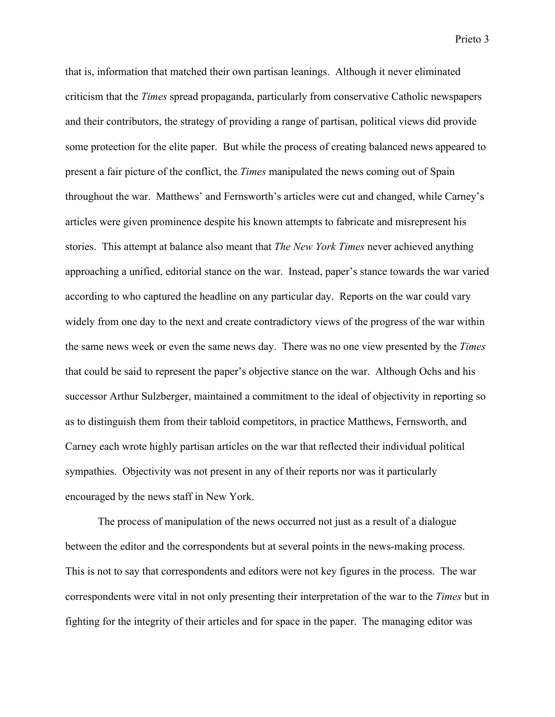that is, information that matched their own partisan leanings. Although it never eliminated criticism that the *Times* spread propaganda, particularly from conservative Catholic newspapers and their contributors, the strategy of providing a range of partisan, political views did provide some protection for the elite paper. But while the process of creating balanced news appeared to present a fair picture of the conflict, the *Times* manipulated the news coming out of Spain throughout the war. Matthews' and Fernsworth's articles were cut and changed, while Carney's articles were given prominence despite his known attempts to fabricate and misrepresent his stories. This attempt at balance also meant that *The New York Times* never achieved anything approaching a unified, editorial stance on the war. Instead, paper's stance towards the war varied according to who captured the headline on any particular day. Reports on the war could vary widely from one day to the next and create contradictory views of the progress of the war within the same news week or even the same news day. There was no one view presented by the *Times* that could be said to represent the paper's objective stance on the war. Although Ochs and his successor Arthur Sulzberger, maintained a commitment to the ideal of objectivity in reporting so as to distinguish them from their tabloid competitors, in practice Matthews, Fernsworth, and Carney each wrote highly partisan articles on the war that reflected their individual political sympathies. Objectivity was not present in any of their reports nor was it particularly encouraged by the news staff in New York.

The process of manipulation of the news occurred not just as a result of a dialogue between the editor and the correspondents but at several points in the news-making process. This is not to say that correspondents and editors were not key figures in the process. The war correspondents were vital in not only presenting their interpretation of the war to the *Times* but in fighting for the integrity of their articles and for space in the paper. The managing editor was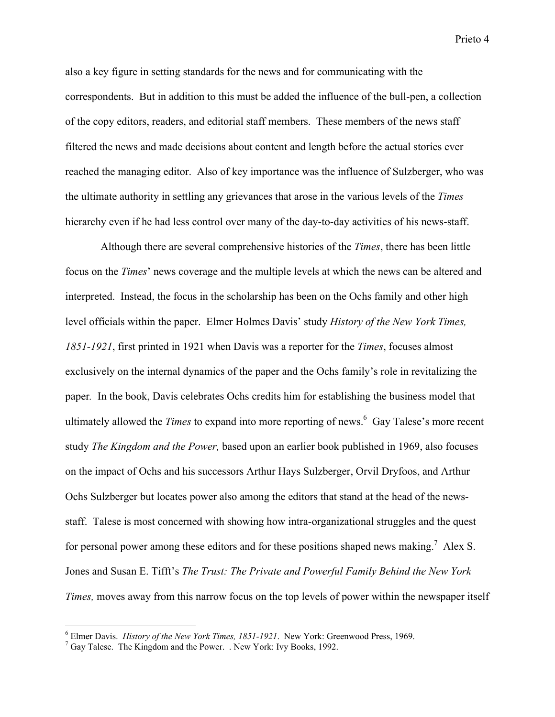also a key figure in setting standards for the news and for communicating with the correspondents. But in addition to this must be added the influence of the bull-pen, a collection of the copy editors, readers, and editorial staff members. These members of the news staff filtered the news and made decisions about content and length before the actual stories ever reached the managing editor. Also of key importance was the influence of Sulzberger, who was the ultimate authority in settling any grievances that arose in the various levels of the *Times* hierarchy even if he had less control over many of the day-to-day activities of his news-staff.

 Although there are several comprehensive histories of the *Times*, there has been little focus on the *Times*' news coverage and the multiple levels at which the news can be altered and interpreted. Instead, the focus in the scholarship has been on the Ochs family and other high level officials within the paper. Elmer Holmes Davis' study *History of the New York Times, 1851-1921*, first printed in 1921 when Davis was a reporter for the *Times*, focuses almost exclusively on the internal dynamics of the paper and the Ochs family's role in revitalizing the paper*.* In the book, Davis celebrates Ochs credits him for establishing the business model that ultimately allowed the *Times* to expand into more reporting of news.6 Gay Talese's more recent study *The Kingdom and the Power,* based upon an earlier book published in 1969, also focuses on the impact of Ochs and his successors Arthur Hays Sulzberger, Orvil Dryfoos, and Arthur Ochs Sulzberger but locates power also among the editors that stand at the head of the newsstaff. Talese is most concerned with showing how intra-organizational struggles and the quest for personal power among these editors and for these positions shaped news making.<sup>7</sup> Alex S. Jones and Susan E. Tifft's *The Trust: The Private and Powerful Family Behind the New York Times,* moves away from this narrow focus on the top levels of power within the newspaper itself

<sup>&</sup>lt;sup>6</sup> Elmer Davis. *History of the New York Times, 1851-1921*. New York: Greenwood Press, 1969.

 $\frac{7}{7}$  Gay Talese. The Kingdom and the Power. . New York: Ivy Books, 1992.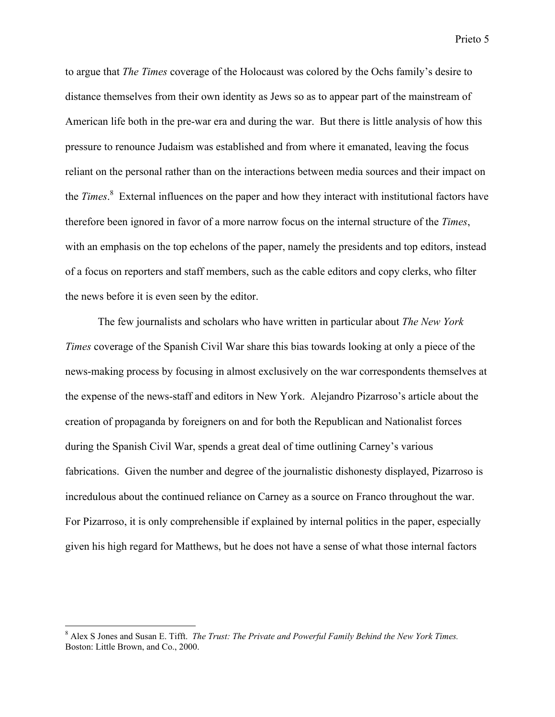to argue that *The Times* coverage of the Holocaust was colored by the Ochs family's desire to distance themselves from their own identity as Jews so as to appear part of the mainstream of American life both in the pre-war era and during the war. But there is little analysis of how this pressure to renounce Judaism was established and from where it emanated, leaving the focus reliant on the personal rather than on the interactions between media sources and their impact on the *Times*. 8 External influences on the paper and how they interact with institutional factors have therefore been ignored in favor of a more narrow focus on the internal structure of the *Times*, with an emphasis on the top echelons of the paper, namely the presidents and top editors, instead of a focus on reporters and staff members, such as the cable editors and copy clerks, who filter the news before it is even seen by the editor.

The few journalists and scholars who have written in particular about *The New York Times* coverage of the Spanish Civil War share this bias towards looking at only a piece of the news-making process by focusing in almost exclusively on the war correspondents themselves at the expense of the news-staff and editors in New York. Alejandro Pizarroso's article about the creation of propaganda by foreigners on and for both the Republican and Nationalist forces during the Spanish Civil War, spends a great deal of time outlining Carney's various fabrications. Given the number and degree of the journalistic dishonesty displayed, Pizarroso is incredulous about the continued reliance on Carney as a source on Franco throughout the war. For Pizarroso, it is only comprehensible if explained by internal politics in the paper, especially given his high regard for Matthews, but he does not have a sense of what those internal factors

<sup>8</sup> Alex S Jones and Susan E. Tifft. *The Trust: The Private and Powerful Family Behind the New York Times.* Boston: Little Brown, and Co., 2000.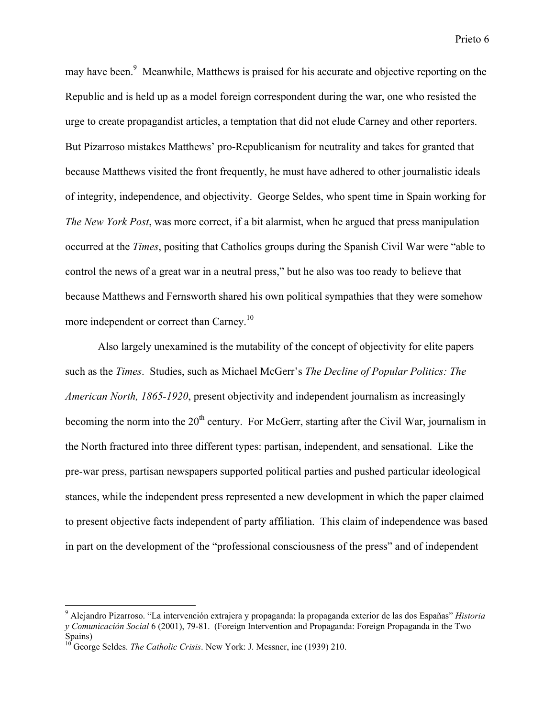may have been.<sup>9</sup> Meanwhile, Matthews is praised for his accurate and objective reporting on the Republic and is held up as a model foreign correspondent during the war, one who resisted the urge to create propagandist articles, a temptation that did not elude Carney and other reporters. But Pizarroso mistakes Matthews' pro-Republicanism for neutrality and takes for granted that because Matthews visited the front frequently, he must have adhered to other journalistic ideals of integrity, independence, and objectivity. George Seldes, who spent time in Spain working for *The New York Post*, was more correct, if a bit alarmist, when he argued that press manipulation occurred at the *Times*, positing that Catholics groups during the Spanish Civil War were "able to control the news of a great war in a neutral press," but he also was too ready to believe that because Matthews and Fernsworth shared his own political sympathies that they were somehow more independent or correct than Carney.<sup>10</sup>

Also largely unexamined is the mutability of the concept of objectivity for elite papers such as the *Times*. Studies, such as Michael McGerr's *The Decline of Popular Politics: The American North, 1865-1920*, present objectivity and independent journalism as increasingly becoming the norm into the  $20<sup>th</sup>$  century. For McGerr, starting after the Civil War, journalism in the North fractured into three different types: partisan, independent, and sensational. Like the pre-war press, partisan newspapers supported political parties and pushed particular ideological stances, while the independent press represented a new development in which the paper claimed to present objective facts independent of party affiliation. This claim of independence was based in part on the development of the "professional consciousness of the press" and of independent

<sup>9</sup> Alejandro Pizarroso. "La intervención extrajera y propaganda: la propaganda exterior de las dos Españas" *Historia y Comunicación Social* 6 (2001), 79-81. (Foreign Intervention and Propaganda: Foreign Propaganda in the Two  $\text{Spains}\atop 10 \text{Corr}$ 

George Seldes. *The Catholic Crisis*. New York: J. Messner, inc (1939) 210.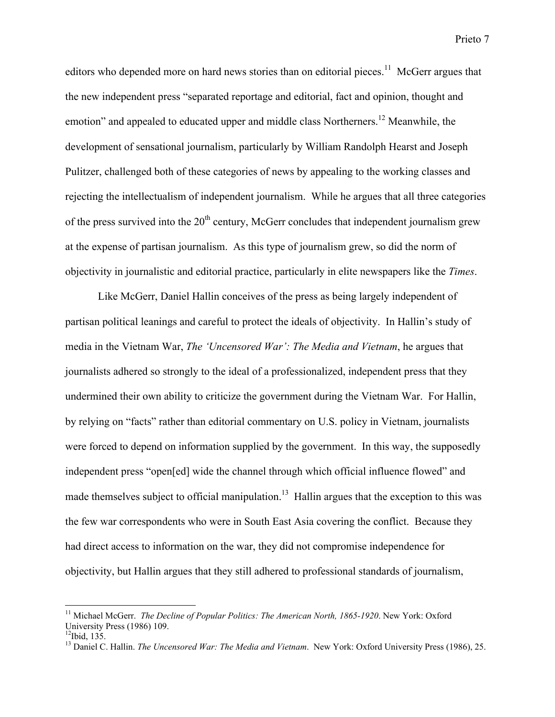editors who depended more on hard news stories than on editorial pieces. $11$  McGerr argues that the new independent press "separated reportage and editorial, fact and opinion, thought and emotion" and appealed to educated upper and middle class Northerners.<sup>12</sup> Meanwhile, the development of sensational journalism, particularly by William Randolph Hearst and Joseph Pulitzer, challenged both of these categories of news by appealing to the working classes and rejecting the intellectualism of independent journalism. While he argues that all three categories of the press survived into the  $20<sup>th</sup>$  century, McGerr concludes that independent journalism grew at the expense of partisan journalism. As this type of journalism grew, so did the norm of objectivity in journalistic and editorial practice, particularly in elite newspapers like the *Times*.

Like McGerr, Daniel Hallin conceives of the press as being largely independent of partisan political leanings and careful to protect the ideals of objectivity. In Hallin's study of media in the Vietnam War, *The 'Uncensored War': The Media and Vietnam*, he argues that journalists adhered so strongly to the ideal of a professionalized, independent press that they undermined their own ability to criticize the government during the Vietnam War. For Hallin, by relying on "facts" rather than editorial commentary on U.S. policy in Vietnam, journalists were forced to depend on information supplied by the government. In this way, the supposedly independent press "open[ed] wide the channel through which official influence flowed" and made themselves subject to official manipulation.<sup>13</sup> Hallin argues that the exception to this was the few war correspondents who were in South East Asia covering the conflict. Because they had direct access to information on the war, they did not compromise independence for objectivity, but Hallin argues that they still adhered to professional standards of journalism,

<sup>&</sup>lt;sup>11</sup> Michael McGerr. *The Decline of Popular Politics: The American North, 1865-1920*. New York: Oxford University Press (1986) 109.

 $12$ Ibid, 135.

<sup>&</sup>lt;sup>13</sup> Daniel C. Hallin. *The Uncensored War: The Media and Vietnam*. New York: Oxford University Press (1986), 25.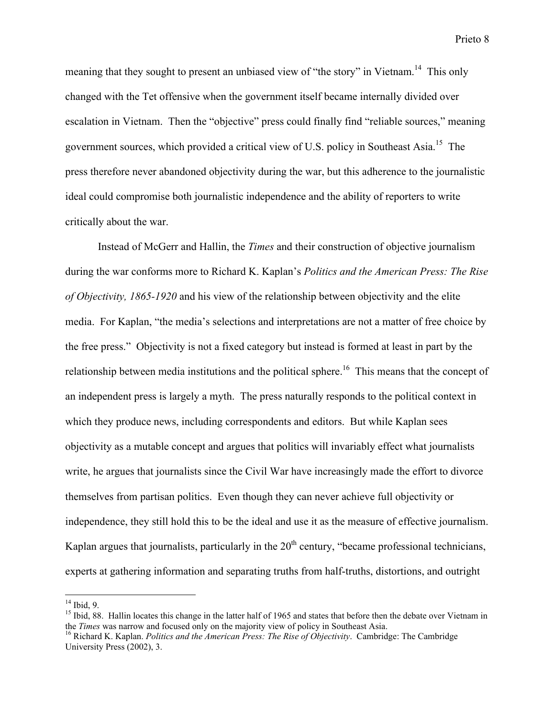meaning that they sought to present an unbiased view of "the story" in Vietnam.<sup>14</sup> This only changed with the Tet offensive when the government itself became internally divided over escalation in Vietnam. Then the "objective" press could finally find "reliable sources," meaning government sources, which provided a critical view of U.S. policy in Southeast Asia.<sup>15</sup> The press therefore never abandoned objectivity during the war, but this adherence to the journalistic ideal could compromise both journalistic independence and the ability of reporters to write critically about the war.

Instead of McGerr and Hallin, the *Times* and their construction of objective journalism during the war conforms more to Richard K. Kaplan's *Politics and the American Press: The Rise of Objectivity, 1865-1920* and his view of the relationship between objectivity and the elite media. For Kaplan, "the media's selections and interpretations are not a matter of free choice by the free press." Objectivity is not a fixed category but instead is formed at least in part by the relationship between media institutions and the political sphere.<sup>16</sup> This means that the concept of an independent press is largely a myth. The press naturally responds to the political context in which they produce news, including correspondents and editors. But while Kaplan sees objectivity as a mutable concept and argues that politics will invariably effect what journalists write, he argues that journalists since the Civil War have increasingly made the effort to divorce themselves from partisan politics. Even though they can never achieve full objectivity or independence, they still hold this to be the ideal and use it as the measure of effective journalism. Kaplan argues that journalists, particularly in the  $20<sup>th</sup>$  century, "became professional technicians, experts at gathering information and separating truths from half-truths, distortions, and outright

 $14$  Ibid, 9.

<sup>&</sup>lt;sup>15</sup> Ibid, 88. Hallin locates this change in the latter half of 1965 and states that before then the debate over Vietnam in the *Times* was narrow and focused only on the majority view of policy in Southeast Asia.

<sup>&</sup>lt;sup>16</sup> Richard K. Kaplan. *Politics and the American Press: The Rise of Objectivity*. Cambridge: The Cambridge University Press (2002), 3.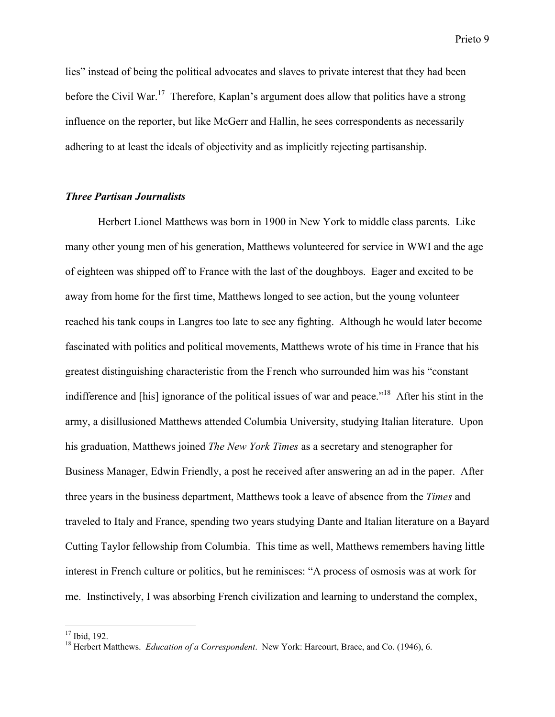lies" instead of being the political advocates and slaves to private interest that they had been before the Civil War.<sup>17</sup> Therefore, Kaplan's argument does allow that politics have a strong influence on the reporter, but like McGerr and Hallin, he sees correspondents as necessarily adhering to at least the ideals of objectivity and as implicitly rejecting partisanship.

### *Three Partisan Journalists*

Herbert Lionel Matthews was born in 1900 in New York to middle class parents. Like many other young men of his generation, Matthews volunteered for service in WWI and the age of eighteen was shipped off to France with the last of the doughboys. Eager and excited to be away from home for the first time, Matthews longed to see action, but the young volunteer reached his tank coups in Langres too late to see any fighting. Although he would later become fascinated with politics and political movements, Matthews wrote of his time in France that his greatest distinguishing characteristic from the French who surrounded him was his "constant indifference and [his] ignorance of the political issues of war and peace."<sup>18</sup> After his stint in the army, a disillusioned Matthews attended Columbia University, studying Italian literature. Upon his graduation, Matthews joined *The New York Times* as a secretary and stenographer for Business Manager, Edwin Friendly, a post he received after answering an ad in the paper. After three years in the business department, Matthews took a leave of absence from the *Times* and traveled to Italy and France, spending two years studying Dante and Italian literature on a Bayard Cutting Taylor fellowship from Columbia. This time as well, Matthews remembers having little interest in French culture or politics, but he reminisces: "A process of osmosis was at work for me. Instinctively, I was absorbing French civilization and learning to understand the complex,

<sup>&</sup>lt;sup>17</sup> Ibid, 192.

<sup>&</sup>lt;sup>18</sup> Herbert Matthews. *Education of a Correspondent*. New York: Harcourt, Brace, and Co. (1946), 6.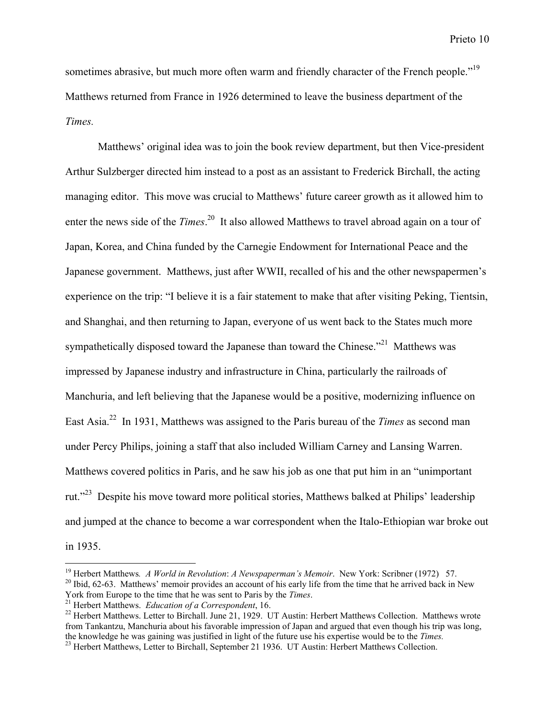sometimes abrasive, but much more often warm and friendly character of the French people."<sup>19</sup> Matthews returned from France in 1926 determined to leave the business department of the *Times.*

Matthews' original idea was to join the book review department, but then Vice-president Arthur Sulzberger directed him instead to a post as an assistant to Frederick Birchall, the acting managing editor. This move was crucial to Matthews' future career growth as it allowed him to enter the news side of the *Times*.<sup>20</sup> It also allowed Matthews to travel abroad again on a tour of Japan, Korea, and China funded by the Carnegie Endowment for International Peace and the Japanese government. Matthews, just after WWII, recalled of his and the other newspapermen's experience on the trip: "I believe it is a fair statement to make that after visiting Peking, Tientsin, and Shanghai, and then returning to Japan, everyone of us went back to the States much more sympathetically disposed toward the Japanese than toward the Chinese.<sup> $21$ </sup> Matthews was impressed by Japanese industry and infrastructure in China, particularly the railroads of Manchuria, and left believing that the Japanese would be a positive, modernizing influence on East Asia.<sup>22</sup> In 1931, Matthews was assigned to the Paris bureau of the *Times* as second man under Percy Philips, joining a staff that also included William Carney and Lansing Warren. Matthews covered politics in Paris, and he saw his job as one that put him in an "unimportant rut."<sup>23</sup> Despite his move toward more political stories, Matthews balked at Philips' leadership and jumped at the chance to become a war correspondent when the Italo-Ethiopian war broke out in 1935.

<sup>20</sup> Ibid, 62-63. Matthews' memoir provides an account of his early life from the time that he arrived back in New York from Europe to the time that he was sent to Paris by the *Times*.

<sup>&</sup>lt;sup>19</sup> Herbert Matthews. *A World in Revolution: A Newspaperman's Memoir*. New York: Scribner (1972) 57.<br><sup>20</sup> Ibid. 62.63. Motthews' mamoir provides an account of his early life from the time that he arrived heals in

<sup>&</sup>lt;sup>21</sup> Herbert Matthews. *Education of a Correspondent*, 16.

<sup>&</sup>lt;sup>22</sup> Herbert Matthews. Letter to Birchall. June 21, 1929. UT Austin: Herbert Matthews Collection. Matthews wrote from Tankantzu, Manchuria about his favorable impression of Japan and argued that even though his trip was long, the knowledge he was gaining was justified in light of the future use his expertise would be to the *Times.* <sup>23</sup>

<sup>&</sup>lt;sup>23</sup> Herbert Matthews, Letter to Birchall, September 21 1936. UT Austin: Herbert Matthews Collection.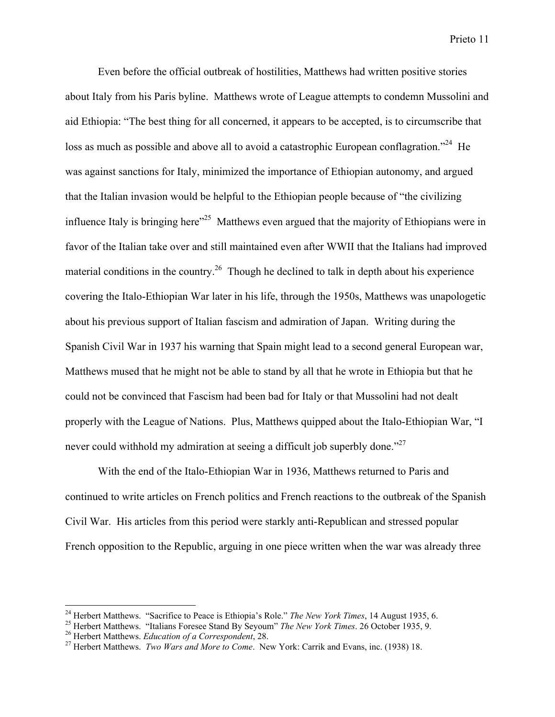Even before the official outbreak of hostilities, Matthews had written positive stories about Italy from his Paris byline. Matthews wrote of League attempts to condemn Mussolini and aid Ethiopia: "The best thing for all concerned, it appears to be accepted, is to circumscribe that loss as much as possible and above all to avoid a catastrophic European conflagration."<sup>24</sup> He was against sanctions for Italy, minimized the importance of Ethiopian autonomy, and argued that the Italian invasion would be helpful to the Ethiopian people because of "the civilizing influence Italy is bringing here<sup> $25$ </sup> Matthews even argued that the majority of Ethiopians were in favor of the Italian take over and still maintained even after WWII that the Italians had improved material conditions in the country.<sup>26</sup> Though he declined to talk in depth about his experience covering the Italo-Ethiopian War later in his life, through the 1950s, Matthews was unapologetic about his previous support of Italian fascism and admiration of Japan. Writing during the Spanish Civil War in 1937 his warning that Spain might lead to a second general European war, Matthews mused that he might not be able to stand by all that he wrote in Ethiopia but that he could not be convinced that Fascism had been bad for Italy or that Mussolini had not dealt properly with the League of Nations. Plus, Matthews quipped about the Italo-Ethiopian War, "I never could withhold my admiration at seeing a difficult job superbly done.<sup>27</sup>

With the end of the Italo-Ethiopian War in 1936, Matthews returned to Paris and continued to write articles on French politics and French reactions to the outbreak of the Spanish Civil War. His articles from this period were starkly anti-Republican and stressed popular French opposition to the Republic, arguing in one piece written when the war was already three

<sup>&</sup>lt;sup>24</sup> Herbert Matthews. "Sacrifice to Peace is Ethiopia's Role." The New York Times, 14 August 1935, 6. <sup>24</sup> Herbert Matthews. "Sacrifice to Peace is Ethiopia's Role." *The New York Times*, 14 August 1935, 6.<br><sup>25</sup> Herbert Matthews. "Italians Estazea Stand By Savaym" *The New York Times*, 26 October 1935, 9.

<sup>&</sup>lt;sup>25</sup> Herbert Matthews. "Italians Foresee Stand By Seyoum" *The New York Times*. 26 October 1935, 9.<br><sup>26</sup> Herbert Matthews, Education of a Convergendent 28

<sup>&</sup>lt;sup>26</sup> Herbert Matthews. *Education of a Correspondent*, 28.

<sup>&</sup>lt;sup>27</sup> Herbert Matthews. *Two Wars and More to Come*. New York: Carrik and Evans, inc. (1938) 18.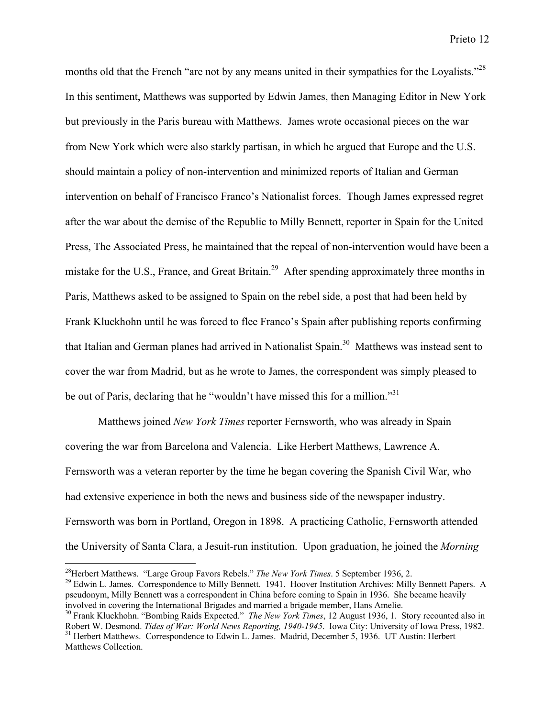months old that the French "are not by any means united in their sympathies for the Loyalists."<sup>28</sup> In this sentiment, Matthews was supported by Edwin James, then Managing Editor in New York but previously in the Paris bureau with Matthews. James wrote occasional pieces on the war from New York which were also starkly partisan, in which he argued that Europe and the U.S. should maintain a policy of non-intervention and minimized reports of Italian and German intervention on behalf of Francisco Franco's Nationalist forces. Though James expressed regret after the war about the demise of the Republic to Milly Bennett, reporter in Spain for the United Press, The Associated Press, he maintained that the repeal of non-intervention would have been a mistake for the U.S., France, and Great Britain.<sup>29</sup> After spending approximately three months in Paris, Matthews asked to be assigned to Spain on the rebel side, a post that had been held by Frank Kluckhohn until he was forced to flee Franco's Spain after publishing reports confirming that Italian and German planes had arrived in Nationalist Spain.<sup>30</sup> Matthews was instead sent to cover the war from Madrid, but as he wrote to James, the correspondent was simply pleased to be out of Paris, declaring that he "wouldn't have missed this for a million."<sup>31</sup>

Matthews joined *New York Times* reporter Fernsworth, who was already in Spain covering the war from Barcelona and Valencia. Like Herbert Matthews, Lawrence A. Fernsworth was a veteran reporter by the time he began covering the Spanish Civil War, who had extensive experience in both the news and business side of the newspaper industry. Fernsworth was born in Portland, Oregon in 1898. A practicing Catholic, Fernsworth attended the University of Santa Clara, a Jesuit-run institution. Upon graduation, he joined the *Morning*

<sup>&</sup>lt;sup>28</sup> Herbert Matthews. "Large Group Favors Rebels." *The New York Times*. 5 September 1936, 2.<br><sup>29</sup> Edwin L. James. Correspondence to Milly Bennett, 1941. Hoover Institution Archives: Mill.

<sup>&</sup>lt;sup>29</sup> Edwin L. James. Correspondence to Milly Bennett. 1941. Hoover Institution Archives: Milly Bennett Papers. A pseudonym, Milly Bennett was a correspondent in China before coming to Spain in 1936. She became heavily involved in covering the International Brigades and married a brigade member, Hans Amelie.

<sup>30</sup> Frank Kluckhohn. "Bombing Raids Expected." *The New York Times*, 12 August 1936, 1. Story recounted also in Robert W. Desmond. *Tides of War: World News Reporting, 1940-1945*. Iowa City: University of Iowa Press, 1982. <sup>31</sup> <sup>31</sup> Herbert Matthews. Correspondence to Edwin L. James. Madrid, December 5, 1936. UT Austin: Herbert Matthews Collection.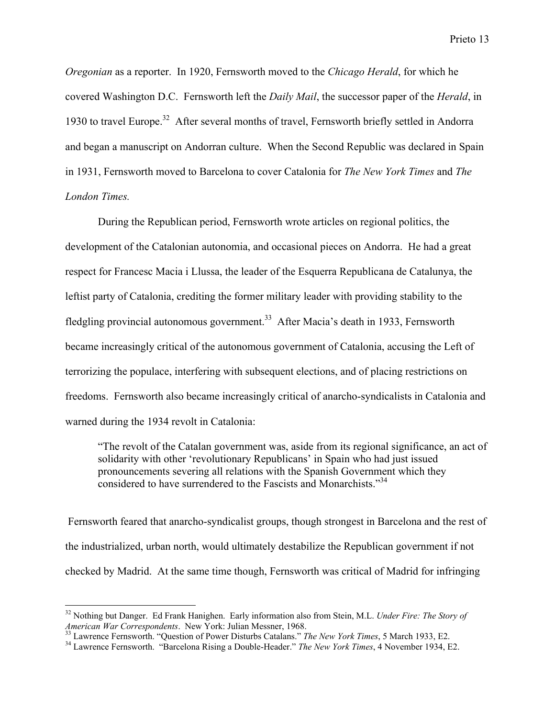*Oregonian* as a reporter. In 1920, Fernsworth moved to the *Chicago Herald*, for which he covered Washington D.C. Fernsworth left the *Daily Mail*, the successor paper of the *Herald*, in 1930 to travel Europe.<sup>32</sup> After several months of travel, Fernsworth briefly settled in Andorra and began a manuscript on Andorran culture. When the Second Republic was declared in Spain in 1931, Fernsworth moved to Barcelona to cover Catalonia for *The New York Times* and *The London Times.*

During the Republican period, Fernsworth wrote articles on regional politics, the development of the Catalonian autonomia, and occasional pieces on Andorra. He had a great respect for Francesc Macia i Llussa, the leader of the Esquerra Republicana de Catalunya, the leftist party of Catalonia, crediting the former military leader with providing stability to the fledgling provincial autonomous government.<sup>33</sup> After Macia's death in 1933, Fernsworth became increasingly critical of the autonomous government of Catalonia, accusing the Left of terrorizing the populace, interfering with subsequent elections, and of placing restrictions on freedoms. Fernsworth also became increasingly critical of anarcho-syndicalists in Catalonia and warned during the 1934 revolt in Catalonia:

"The revolt of the Catalan government was, aside from its regional significance, an act of solidarity with other 'revolutionary Republicans' in Spain who had just issued pronouncements severing all relations with the Spanish Government which they considered to have surrendered to the Fascists and Monarchists."<sup>34</sup>

 Fernsworth feared that anarcho-syndicalist groups, though strongest in Barcelona and the rest of the industrialized, urban north, would ultimately destabilize the Republican government if not checked by Madrid. At the same time though, Fernsworth was critical of Madrid for infringing

<sup>32</sup> Nothing but Danger. Ed Frank Hanighen. Early information also from Stein, M.L. *Under Fire: The Story of American War Correspondents.* New York: Julian Messner, 1968.<br><sup>33</sup> Lauranes Fernaugrich "Question of Bauer Disturbe Catalons."

<sup>&</sup>lt;sup>33</sup> Lawrence Fernsworth. "Question of Power Disturbs Catalans." *The New York Times*, 5 March 1933, E2.<br><sup>34</sup> Lawrence Fernsworth. "Percelone Bising a Double Header." *The New York Times*, 4 Newmber 1934, I

Lawrence Fernsworth. "Barcelona Rising a Double-Header." *The New York Times*, 4 November 1934, E2.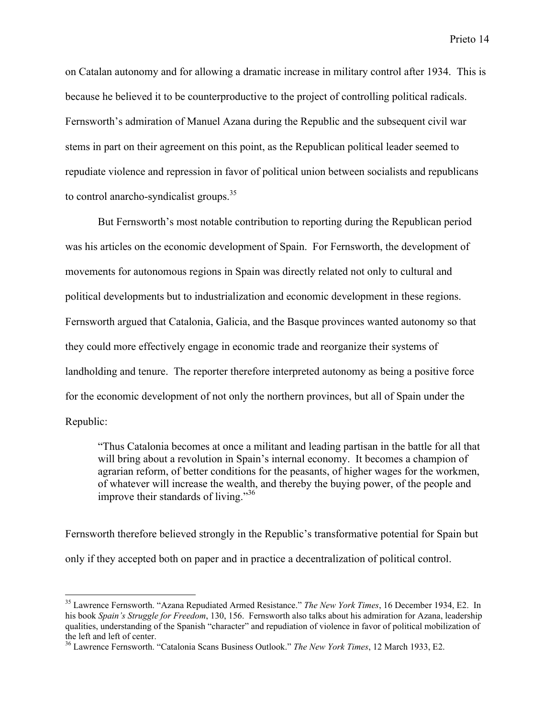on Catalan autonomy and for allowing a dramatic increase in military control after 1934. This is because he believed it to be counterproductive to the project of controlling political radicals. Fernsworth's admiration of Manuel Azana during the Republic and the subsequent civil war stems in part on their agreement on this point, as the Republican political leader seemed to repudiate violence and repression in favor of political union between socialists and republicans to control anarcho-syndicalist groups.<sup>35</sup>

But Fernsworth's most notable contribution to reporting during the Republican period was his articles on the economic development of Spain. For Fernsworth, the development of movements for autonomous regions in Spain was directly related not only to cultural and political developments but to industrialization and economic development in these regions. Fernsworth argued that Catalonia, Galicia, and the Basque provinces wanted autonomy so that they could more effectively engage in economic trade and reorganize their systems of landholding and tenure. The reporter therefore interpreted autonomy as being a positive force for the economic development of not only the northern provinces, but all of Spain under the Republic:

"Thus Catalonia becomes at once a militant and leading partisan in the battle for all that will bring about a revolution in Spain's internal economy. It becomes a champion of agrarian reform, of better conditions for the peasants, of higher wages for the workmen, of whatever will increase the wealth, and thereby the buying power, of the people and improve their standards of living."<sup>36</sup>

Fernsworth therefore believed strongly in the Republic's transformative potential for Spain but only if they accepted both on paper and in practice a decentralization of political control.

<sup>35</sup> Lawrence Fernsworth. "Azana Repudiated Armed Resistance." *The New York Times*, 16 December 1934, E2. In his book *Spain's Struggle for Freedom*, 130, 156. Fernsworth also talks about his admiration for Azana, leadership qualities, understanding of the Spanish "character" and repudiation of violence in favor of political mobilization of the left and left of center.

<sup>36</sup> Lawrence Fernsworth. "Catalonia Scans Business Outlook." *The New York Times*, 12 March 1933, E2.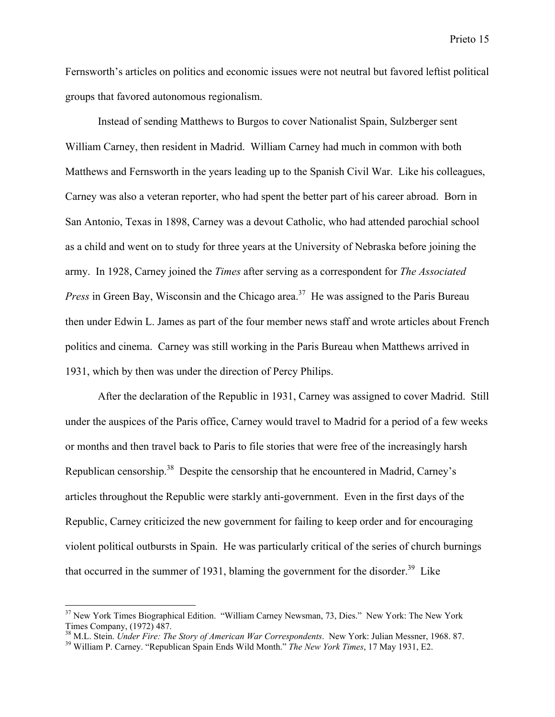Fernsworth's articles on politics and economic issues were not neutral but favored leftist political groups that favored autonomous regionalism.

Instead of sending Matthews to Burgos to cover Nationalist Spain, Sulzberger sent William Carney, then resident in Madrid. William Carney had much in common with both Matthews and Fernsworth in the years leading up to the Spanish Civil War. Like his colleagues, Carney was also a veteran reporter, who had spent the better part of his career abroad. Born in San Antonio, Texas in 1898, Carney was a devout Catholic, who had attended parochial school as a child and went on to study for three years at the University of Nebraska before joining the army. In 1928, Carney joined the *Times* after serving as a correspondent for *The Associated* Press in Green Bay, Wisconsin and the Chicago area.<sup>37</sup> He was assigned to the Paris Bureau then under Edwin L. James as part of the four member news staff and wrote articles about French politics and cinema. Carney was still working in the Paris Bureau when Matthews arrived in 1931, which by then was under the direction of Percy Philips.

After the declaration of the Republic in 1931, Carney was assigned to cover Madrid. Still under the auspices of the Paris office, Carney would travel to Madrid for a period of a few weeks or months and then travel back to Paris to file stories that were free of the increasingly harsh Republican censorship.<sup>38</sup> Despite the censorship that he encountered in Madrid, Carney's articles throughout the Republic were starkly anti-government. Even in the first days of the Republic, Carney criticized the new government for failing to keep order and for encouraging violent political outbursts in Spain. He was particularly critical of the series of church burnings that occurred in the summer of 1931, blaming the government for the disorder.<sup>39</sup> Like

<sup>&</sup>lt;sup>37</sup> New York Times Biographical Edition. "William Carney Newsman, 73, Dies." New York: The New York Times Company, (1972) 487.

<sup>&</sup>lt;sup>38</sup> M.L. Stein. *Under Fire: The Story of American War Correspondents*. New York: Julian Messner, 1968. 87.<br><sup>39</sup> William B. Carnay, "Benubliesn Spain Ends Wild Month." *The New York Times*, 17 May 1931, E2

William P. Carney. "Republican Spain Ends Wild Month." *The New York Times*, 17 May 1931, E2.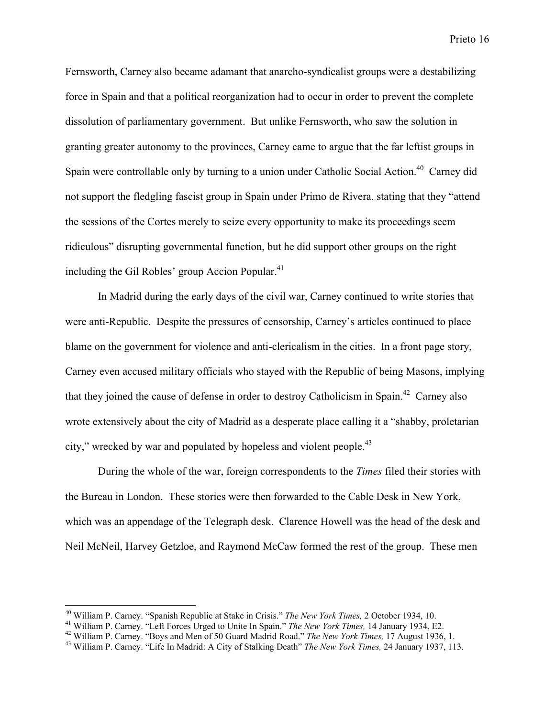Fernsworth, Carney also became adamant that anarcho-syndicalist groups were a destabilizing force in Spain and that a political reorganization had to occur in order to prevent the complete dissolution of parliamentary government. But unlike Fernsworth, who saw the solution in granting greater autonomy to the provinces, Carney came to argue that the far leftist groups in Spain were controllable only by turning to a union under Catholic Social Action.<sup>40</sup> Carney did not support the fledgling fascist group in Spain under Primo de Rivera, stating that they "attend the sessions of the Cortes merely to seize every opportunity to make its proceedings seem ridiculous" disrupting governmental function, but he did support other groups on the right including the Gil Robles' group Accion Popular. $41$ 

In Madrid during the early days of the civil war, Carney continued to write stories that were anti-Republic. Despite the pressures of censorship, Carney's articles continued to place blame on the government for violence and anti-clericalism in the cities. In a front page story, Carney even accused military officials who stayed with the Republic of being Masons, implying that they joined the cause of defense in order to destroy Catholicism in Spain.<sup>42</sup> Carney also wrote extensively about the city of Madrid as a desperate place calling it a "shabby, proletarian city," wrecked by war and populated by hopeless and violent people.<sup>43</sup>

During the whole of the war, foreign correspondents to the *Times* filed their stories with the Bureau in London. These stories were then forwarded to the Cable Desk in New York, which was an appendage of the Telegraph desk. Clarence Howell was the head of the desk and Neil McNeil, Harvey Getzloe, and Raymond McCaw formed the rest of the group. These men

<sup>&</sup>lt;sup>40</sup> William P. Carney. "Spanish Republic at Stake in Crisis." *The New York Times*, 2 October 1934, 10.<br><sup>41</sup> William P. Carney. "Left Forges Urged to Unite In Spain." *The New York Times*, 14 January 1934, E

<sup>&</sup>lt;sup>41</sup> William P. Carney. "Left Forces Urged to Unite In Spain." *The New York Times*, 14 January 1934, E2.

William P. Carney. "Boys and Men of 50 Guard Madrid Road." *The New York Times,* 17 August 1936, 1. <sup>43</sup>

William P. Carney. "Life In Madrid: A City of Stalking Death" *The New York Times,* 24 January 1937, 113.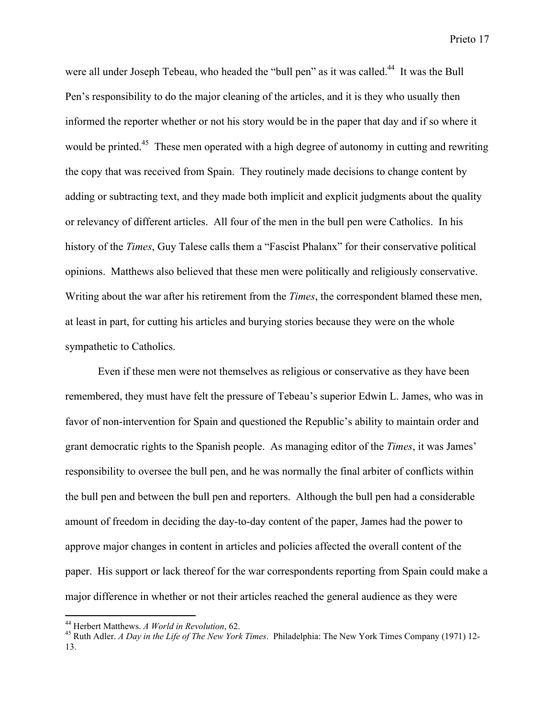were all under Joseph Tebeau, who headed the "bull pen" as it was called.<sup>44</sup> It was the Bull Pen's responsibility to do the major cleaning of the articles, and it is they who usually then informed the reporter whether or not his story would be in the paper that day and if so where it would be printed.<sup>45</sup> These men operated with a high degree of autonomy in cutting and rewriting the copy that was received from Spain. They routinely made decisions to change content by adding or subtracting text, and they made both implicit and explicit judgments about the quality or relevancy of different articles. All four of the men in the bull pen were Catholics. In his history of the *Times*, Guy Talese calls them a "Fascist Phalanx" for their conservative political opinions. Matthews also believed that these men were politically and religiously conservative. Writing about the war after his retirement from the *Times*, the correspondent blamed these men, at least in part, for cutting his articles and burying stories because they were on the whole sympathetic to Catholics.

Even if these men were not themselves as religious or conservative as they have been remembered, they must have felt the pressure of Tebeau's superior Edwin L. James, who was in favor of non-intervention for Spain and questioned the Republic's ability to maintain order and grant democratic rights to the Spanish people. As managing editor of the *Times*, it was James' responsibility to oversee the bull pen, and he was normally the final arbiter of conflicts within the bull pen and between the bull pen and reporters. Although the bull pen had a considerable amount of freedom in deciding the day-to-day content of the paper, James had the power to approve major changes in content in articles and policies affected the overall content of the paper. His support or lack thereof for the war correspondents reporting from Spain could make a major difference in whether or not their articles reached the general audience as they were

<sup>&</sup>lt;sup>44</sup> Herbert Matthews. *A World in Revolution*, 62.<br><sup>45</sup> Buth Adlar, *A Davin the Life of The Navy You* 

Ruth Adler. *A Day in the Life of The New York Times*. Philadelphia: The New York Times Company (1971) 12- 13.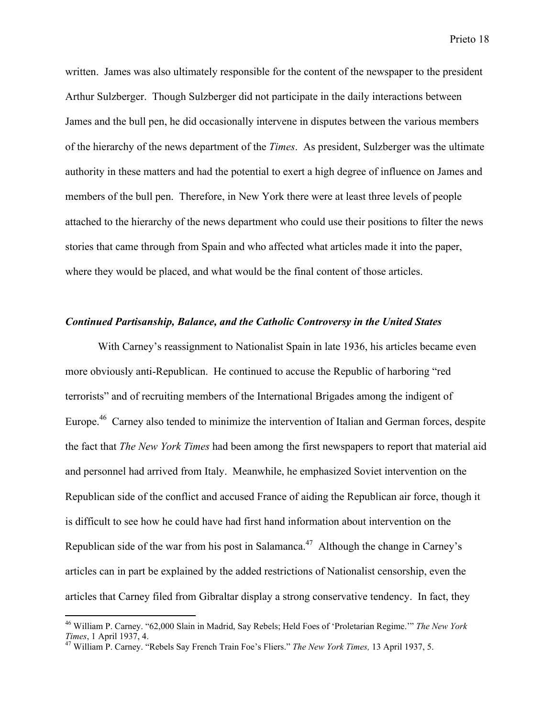written. James was also ultimately responsible for the content of the newspaper to the president Arthur Sulzberger. Though Sulzberger did not participate in the daily interactions between James and the bull pen, he did occasionally intervene in disputes between the various members of the hierarchy of the news department of the *Times*. As president, Sulzberger was the ultimate authority in these matters and had the potential to exert a high degree of influence on James and members of the bull pen. Therefore, in New York there were at least three levels of people attached to the hierarchy of the news department who could use their positions to filter the news stories that came through from Spain and who affected what articles made it into the paper, where they would be placed, and what would be the final content of those articles.

#### *Continued Partisanship, Balance, and the Catholic Controversy in the United States*

With Carney's reassignment to Nationalist Spain in late 1936, his articles became even more obviously anti-Republican. He continued to accuse the Republic of harboring "red terrorists" and of recruiting members of the International Brigades among the indigent of Europe.<sup>46</sup> Carney also tended to minimize the intervention of Italian and German forces, despite the fact that *The New York Times* had been among the first newspapers to report that material aid and personnel had arrived from Italy. Meanwhile, he emphasized Soviet intervention on the Republican side of the conflict and accused France of aiding the Republican air force, though it is difficult to see how he could have had first hand information about intervention on the Republican side of the war from his post in Salamanca.<sup>47</sup> Although the change in Carney's articles can in part be explained by the added restrictions of Nationalist censorship, even the articles that Carney filed from Gibraltar display a strong conservative tendency. In fact, they

<sup>46</sup> William P. Carney. "62,000 Slain in Madrid, Say Rebels; Held Foes of 'Proletarian Regime.'" *The New York Times*, 1 April 1937, 4.

William P. Carney. "Rebels Say French Train Foe's Fliers." *The New York Times,* 13 April 1937, 5.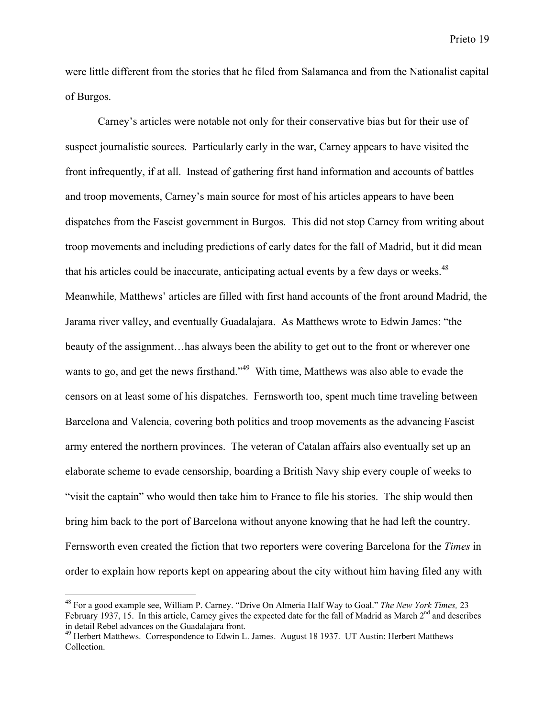were little different from the stories that he filed from Salamanca and from the Nationalist capital of Burgos.

Carney's articles were notable not only for their conservative bias but for their use of suspect journalistic sources. Particularly early in the war, Carney appears to have visited the front infrequently, if at all. Instead of gathering first hand information and accounts of battles and troop movements, Carney's main source for most of his articles appears to have been dispatches from the Fascist government in Burgos. This did not stop Carney from writing about troop movements and including predictions of early dates for the fall of Madrid, but it did mean that his articles could be inaccurate, anticipating actual events by a few days or weeks.<sup>48</sup> Meanwhile, Matthews' articles are filled with first hand accounts of the front around Madrid, the Jarama river valley, and eventually Guadalajara. As Matthews wrote to Edwin James: "the beauty of the assignment…has always been the ability to get out to the front or wherever one wants to go, and get the news firsthand."<sup>49</sup> With time, Matthews was also able to evade the censors on at least some of his dispatches. Fernsworth too, spent much time traveling between Barcelona and Valencia, covering both politics and troop movements as the advancing Fascist army entered the northern provinces. The veteran of Catalan affairs also eventually set up an elaborate scheme to evade censorship, boarding a British Navy ship every couple of weeks to "visit the captain" who would then take him to France to file his stories. The ship would then bring him back to the port of Barcelona without anyone knowing that he had left the country. Fernsworth even created the fiction that two reporters were covering Barcelona for the *Times* in order to explain how reports kept on appearing about the city without him having filed any with

<sup>48</sup> For a good example see, William P. Carney. "Drive On Almeria Half Way to Goal." *The New York Times,* 23 February 1937, 15. In this article, Carney gives the expected date for the fall of Madrid as March  $2<sup>nd</sup>$  and describes in detail Rebel advances on the Guadalajara front.

<sup>&</sup>lt;sup>49</sup> Herbert Matthews. Correspondence to Edwin L. James. August 18 1937. UT Austin: Herbert Matthews Collection.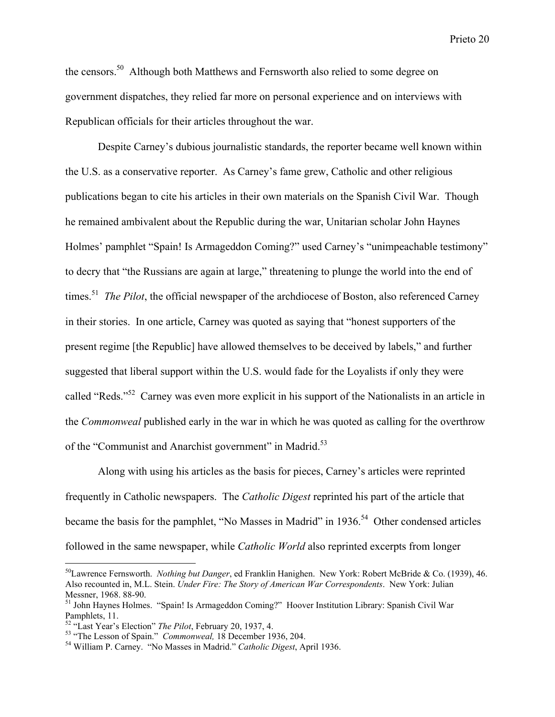the censors.<sup>50</sup> Although both Matthews and Fernsworth also relied to some degree on government dispatches, they relied far more on personal experience and on interviews with Republican officials for their articles throughout the war.

Despite Carney's dubious journalistic standards, the reporter became well known within the U.S. as a conservative reporter. As Carney's fame grew, Catholic and other religious publications began to cite his articles in their own materials on the Spanish Civil War. Though he remained ambivalent about the Republic during the war, Unitarian scholar John Haynes Holmes' pamphlet "Spain! Is Armageddon Coming?" used Carney's "unimpeachable testimony" to decry that "the Russians are again at large," threatening to plunge the world into the end of times.<sup>51</sup> *The Pilot*, the official newspaper of the archdiocese of Boston, also referenced Carney in their stories. In one article, Carney was quoted as saying that "honest supporters of the present regime [the Republic] have allowed themselves to be deceived by labels," and further suggested that liberal support within the U.S. would fade for the Loyalists if only they were called "Reds."<sup>52</sup> Carney was even more explicit in his support of the Nationalists in an article in the *Commonweal* published early in the war in which he was quoted as calling for the overthrow of the "Communist and Anarchist government" in Madrid.<sup>53</sup>

Along with using his articles as the basis for pieces, Carney's articles were reprinted frequently in Catholic newspapers. The *Catholic Digest* reprinted his part of the article that became the basis for the pamphlet, "No Masses in Madrid" in 1936.<sup>54</sup> Other condensed articles followed in the same newspaper, while *Catholic World* also reprinted excerpts from longer

<sup>50</sup> Lawrence Fernsworth. *Nothing but Danger*, ed Franklin Hanighen. New York: Robert McBride & Co. (1939), 46. Also recounted in, M.L. Stein. *Under Fire: The Story of American War Correspondents*. New York: Julian Messner, 1968. 88-90.

<sup>&</sup>lt;sup>51</sup> John Haynes Holmes. "Spain! Is Armageddon Coming?" Hoover Institution Library: Spanish Civil War Pamphlets, 11.

 $^{52}$  "Last Year's Election" *The Pilot*, February 20, 1937, 4.  $^{53}$  "The Lasten of Spain". Commonweal 18 December 15

<sup>&</sup>lt;sup>53</sup> "The Lesson of Spain." *Commonweal*, 18 December 1936, 204.

William P. Carney. "No Masses in Madrid." *Catholic Digest*, April 1936.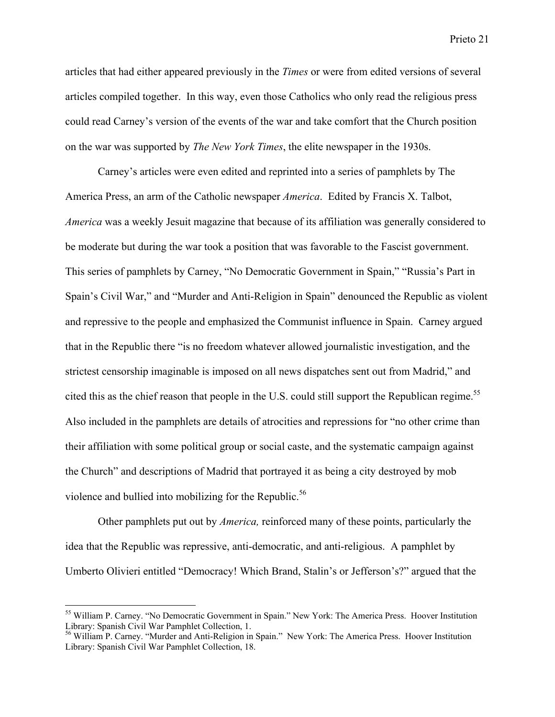articles that had either appeared previously in the *Times* or were from edited versions of several articles compiled together. In this way, even those Catholics who only read the religious press could read Carney's version of the events of the war and take comfort that the Church position on the war was supported by *The New York Times*, the elite newspaper in the 1930s.

Carney's articles were even edited and reprinted into a series of pamphlets by The America Press, an arm of the Catholic newspaper *America*. Edited by Francis X. Talbot, *America* was a weekly Jesuit magazine that because of its affiliation was generally considered to be moderate but during the war took a position that was favorable to the Fascist government. This series of pamphlets by Carney, "No Democratic Government in Spain," "Russia's Part in Spain's Civil War," and "Murder and Anti-Religion in Spain" denounced the Republic as violent and repressive to the people and emphasized the Communist influence in Spain. Carney argued that in the Republic there "is no freedom whatever allowed journalistic investigation, and the strictest censorship imaginable is imposed on all news dispatches sent out from Madrid," and cited this as the chief reason that people in the U.S. could still support the Republican regime.<sup>55</sup> Also included in the pamphlets are details of atrocities and repressions for "no other crime than their affiliation with some political group or social caste, and the systematic campaign against the Church" and descriptions of Madrid that portrayed it as being a city destroyed by mob violence and bullied into mobilizing for the Republic.<sup>56</sup>

Other pamphlets put out by *America,* reinforced many of these points, particularly the idea that the Republic was repressive, anti-democratic, and anti-religious. A pamphlet by Umberto Olivieri entitled "Democracy! Which Brand, Stalin's or Jefferson's?" argued that the

<sup>&</sup>lt;sup>55</sup> William P. Carney. "No Democratic Government in Spain." New York: The America Press. Hoover Institution Library: Spanish Civil War Pamphlet Collection, 1.

<sup>56</sup> William P. Carney. "Murder and Anti-Religion in Spain." New York: The America Press. Hoover Institution Library: Spanish Civil War Pamphlet Collection, 18.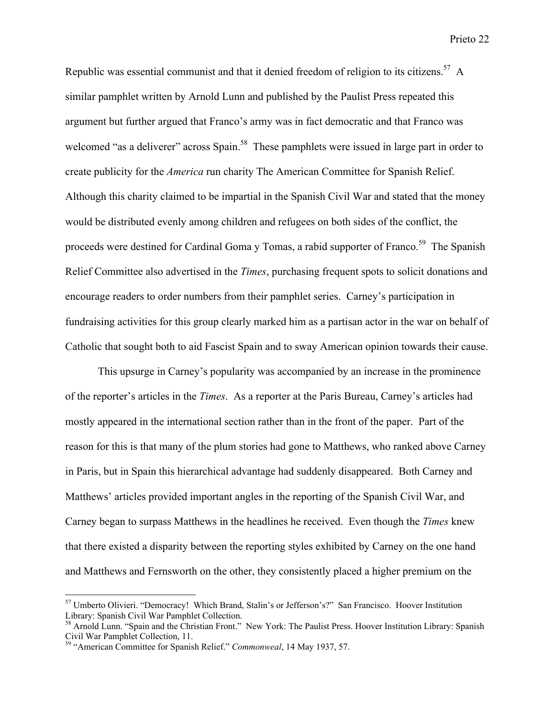Republic was essential communist and that it denied freedom of religion to its citizens.<sup>57</sup> A similar pamphlet written by Arnold Lunn and published by the Paulist Press repeated this argument but further argued that Franco's army was in fact democratic and that Franco was welcomed "as a deliverer" across Spain.<sup>58</sup> These pamphlets were issued in large part in order to create publicity for the *America* run charity The American Committee for Spanish Relief. Although this charity claimed to be impartial in the Spanish Civil War and stated that the money would be distributed evenly among children and refugees on both sides of the conflict, the proceeds were destined for Cardinal Goma y Tomas, a rabid supporter of Franco.<sup>59</sup> The Spanish Relief Committee also advertised in the *Times*, purchasing frequent spots to solicit donations and encourage readers to order numbers from their pamphlet series. Carney's participation in fundraising activities for this group clearly marked him as a partisan actor in the war on behalf of Catholic that sought both to aid Fascist Spain and to sway American opinion towards their cause.

This upsurge in Carney's popularity was accompanied by an increase in the prominence of the reporter's articles in the *Times*. As a reporter at the Paris Bureau, Carney's articles had mostly appeared in the international section rather than in the front of the paper. Part of the reason for this is that many of the plum stories had gone to Matthews, who ranked above Carney in Paris, but in Spain this hierarchical advantage had suddenly disappeared. Both Carney and Matthews' articles provided important angles in the reporting of the Spanish Civil War, and Carney began to surpass Matthews in the headlines he received. Even though the *Times* knew that there existed a disparity between the reporting styles exhibited by Carney on the one hand and Matthews and Fernsworth on the other, they consistently placed a higher premium on the

 57 Umberto Olivieri. "Democracy! Which Brand, Stalin's or Jefferson's?" San Francisco. Hoover Institution Library: Spanish Civil War Pamphlet Collection.

<sup>&</sup>lt;sup>58</sup> Arnold Lunn. "Spain and the Christian Front." New York: The Paulist Press. Hoover Institution Library: Spanish Civil War Pamphlet Collection, 11. 59 "American Committee for Spanish Relief." *Commonweal*, 14 May 1937, 57.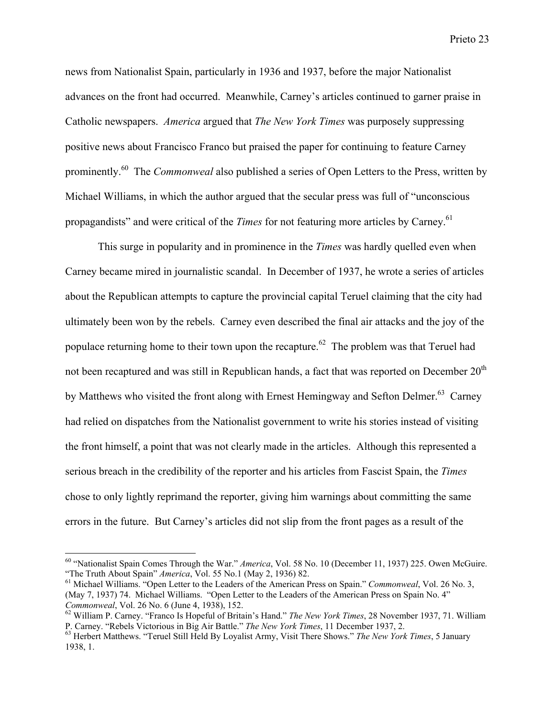news from Nationalist Spain, particularly in 1936 and 1937, before the major Nationalist advances on the front had occurred. Meanwhile, Carney's articles continued to garner praise in Catholic newspapers. *America* argued that *The New York Times* was purposely suppressing positive news about Francisco Franco but praised the paper for continuing to feature Carney prominently.<sup>60</sup> The *Commonweal* also published a series of Open Letters to the Press, written by Michael Williams, in which the author argued that the secular press was full of "unconscious propagandists" and were critical of the *Times* for not featuring more articles by Carney.<sup>61</sup>

This surge in popularity and in prominence in the *Times* was hardly quelled even when Carney became mired in journalistic scandal. In December of 1937, he wrote a series of articles about the Republican attempts to capture the provincial capital Teruel claiming that the city had ultimately been won by the rebels. Carney even described the final air attacks and the joy of the populace returning home to their town upon the recapture.<sup>62</sup> The problem was that Teruel had not been recaptured and was still in Republican hands, a fact that was reported on December  $20<sup>th</sup>$ by Matthews who visited the front along with Ernest Hemingway and Sefton Delmer.<sup>63</sup> Carney had relied on dispatches from the Nationalist government to write his stories instead of visiting the front himself, a point that was not clearly made in the articles. Although this represented a serious breach in the credibility of the reporter and his articles from Fascist Spain, the *Times* chose to only lightly reprimand the reporter, giving him warnings about committing the same errors in the future. But Carney's articles did not slip from the front pages as a result of the

 60 "Nationalist Spain Comes Through the War." *America*, Vol. 58 No. 10 (December 11, 1937) 225. Owen McGuire. "The Truth About Spain" *America*, Vol. 55 No.1 (May 2, 1936) 82.

<sup>&</sup>lt;sup>61</sup> Michael Williams. "Open Letter to the Leaders of the American Press on Spain." *Commonweal*, Vol. 26 No. 3, (May 7, 1937) 74. Michael Williams. "Open Letter to the Leaders of the American Press on Spain No. 4" *Commonweal, Vol. 26 No. 6 (June 4, 1938), 152.* 

William P. Carney. "Franco Is Hopeful of Britain's Hand." *The New York Times*, 28 November 1937, 71. William P. Carney. "Rebels Victorious in Big Air Battle." *The New York Times*, 11 December 1937, 2. <sup>63</sup>

<sup>&</sup>lt;sup>63</sup> Herbert Matthews. "Teruel Still Held By Loyalist Army, Visit There Shows." *The New York Times*, 5 January 1938, 1.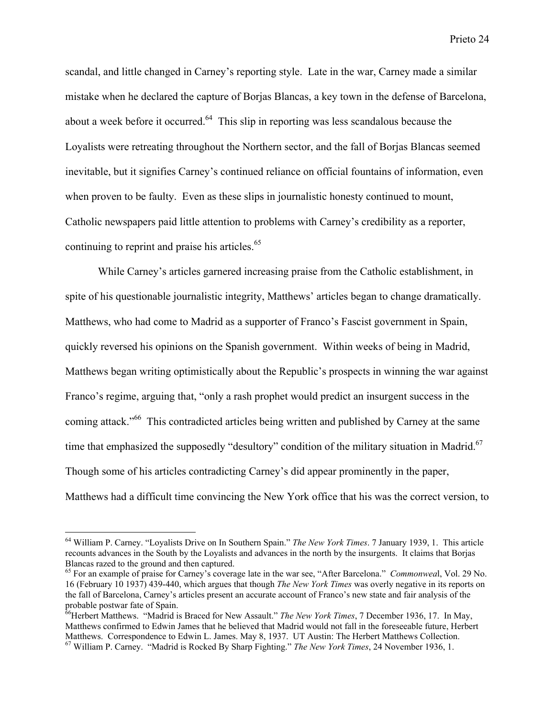scandal, and little changed in Carney's reporting style. Late in the war, Carney made a similar mistake when he declared the capture of Borjas Blancas, a key town in the defense of Barcelona, about a week before it occurred.<sup>64</sup> This slip in reporting was less scandalous because the Loyalists were retreating throughout the Northern sector, and the fall of Borjas Blancas seemed inevitable, but it signifies Carney's continued reliance on official fountains of information, even when proven to be faulty. Even as these slips in journalistic honesty continued to mount, Catholic newspapers paid little attention to problems with Carney's credibility as a reporter, continuing to reprint and praise his articles.<sup>65</sup>

While Carney's articles garnered increasing praise from the Catholic establishment, in spite of his questionable journalistic integrity, Matthews' articles began to change dramatically. Matthews, who had come to Madrid as a supporter of Franco's Fascist government in Spain, quickly reversed his opinions on the Spanish government. Within weeks of being in Madrid, Matthews began writing optimistically about the Republic's prospects in winning the war against Franco's regime, arguing that, "only a rash prophet would predict an insurgent success in the coming attack."<sup>66</sup> This contradicted articles being written and published by Carney at the same time that emphasized the supposedly "desultory" condition of the military situation in Madrid.<sup>67</sup> Though some of his articles contradicting Carney's did appear prominently in the paper, Matthews had a difficult time convincing the New York office that his was the correct version, to

<sup>64</sup> William P. Carney. "Loyalists Drive on In Southern Spain." *The New York Times*. 7 January 1939, 1. This article recounts advances in the South by the Loyalists and advances in the north by the insurgents. It claims that Borjas Blancas razed to the ground and then captured.

<sup>65</sup> For an example of praise for Carney's coverage late in the war see, "After Barcelona." *Commonwea*l, Vol. 29 No. 16 (February 10 1937) 439-440, which argues that though *The New York Times* was overly negative in its reports on the fall of Barcelona, Carney's articles present an accurate account of Franco's new state and fair analysis of the probable postwar fate of Spain. 66 Herbert Matthews. "Madrid is Braced for New Assault." *The New York Times*, 7 December 1936, 17. In May,

Matthews confirmed to Edwin James that he believed that Madrid would not fall in the foreseeable future, Herbert Matthews. Correspondence to Edwin L. James. May 8, 1937. UT Austin: The Herbert Matthews Collection. 67 William P. Carney. "Madrid is Rocked By Sharp Fighting." *The New York Times*, 24 November 1936, 1.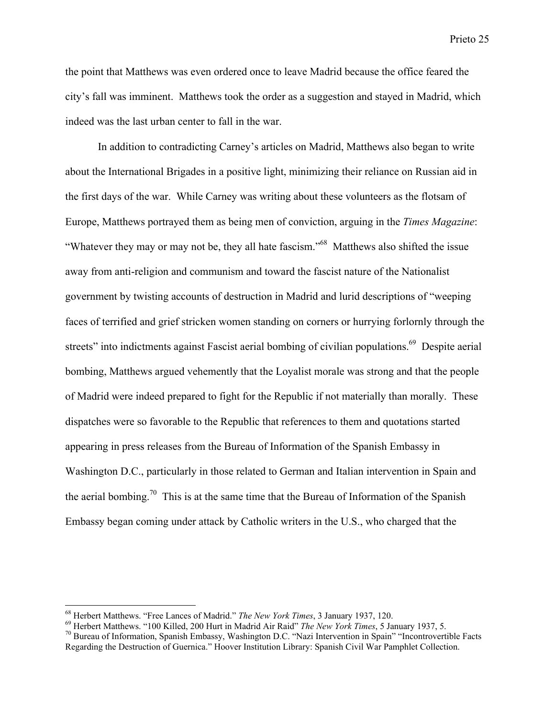the point that Matthews was even ordered once to leave Madrid because the office feared the city's fall was imminent. Matthews took the order as a suggestion and stayed in Madrid, which indeed was the last urban center to fall in the war.

In addition to contradicting Carney's articles on Madrid, Matthews also began to write about the International Brigades in a positive light, minimizing their reliance on Russian aid in the first days of the war. While Carney was writing about these volunteers as the flotsam of Europe, Matthews portrayed them as being men of conviction, arguing in the *Times Magazine*: "Whatever they may or may not be, they all hate fascism."<sup>68</sup> Matthews also shifted the issue away from anti-religion and communism and toward the fascist nature of the Nationalist government by twisting accounts of destruction in Madrid and lurid descriptions of "weeping faces of terrified and grief stricken women standing on corners or hurrying forlornly through the streets" into indictments against Fascist aerial bombing of civilian populations.<sup>69</sup> Despite aerial bombing, Matthews argued vehemently that the Loyalist morale was strong and that the people of Madrid were indeed prepared to fight for the Republic if not materially than morally. These dispatches were so favorable to the Republic that references to them and quotations started appearing in press releases from the Bureau of Information of the Spanish Embassy in Washington D.C., particularly in those related to German and Italian intervention in Spain and the aerial bombing.<sup>70</sup> This is at the same time that the Bureau of Information of the Spanish Embassy began coming under attack by Catholic writers in the U.S., who charged that the

<sup>&</sup>lt;sup>68</sup> Herbert Matthews. "Free Lances of Madrid." *The New York Times*, 3 January 1937, 120.<br><sup>69</sup> Herbert Matthews. "100 Killed. 200 Hurt in Medrid. Air Beid" *The New York Times*, 5 Ja

<sup>&</sup>lt;sup>69</sup> Herbert Matthews. "100 Killed, 200 Hurt in Madrid Air Raid" *The New York Times*, 5 January 1937, 5.

 $\frac{70}{10}$  Bureau of Information, Spanish Embassy, Washington D.C. "Nazi Intervention in Spain" "Incontrovertible Facts Regarding the Destruction of Guernica." Hoover Institution Library: Spanish Civil War Pamphlet Collection.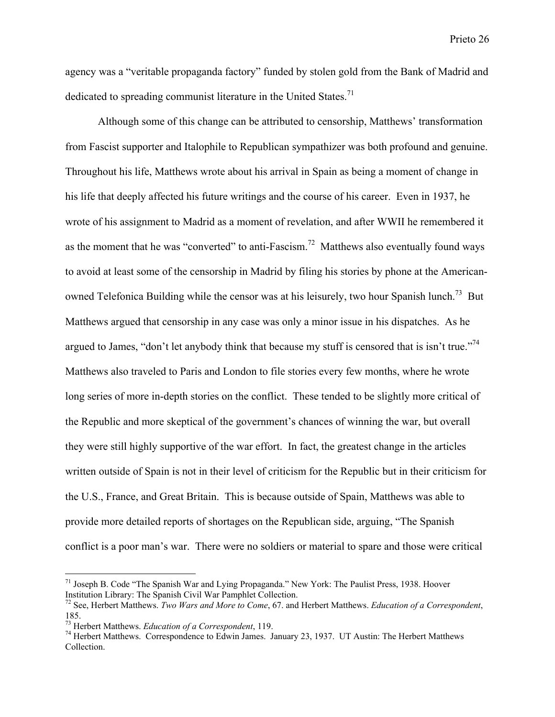agency was a "veritable propaganda factory" funded by stolen gold from the Bank of Madrid and dedicated to spreading communist literature in the United States.<sup>71</sup>

Although some of this change can be attributed to censorship, Matthews' transformation from Fascist supporter and Italophile to Republican sympathizer was both profound and genuine. Throughout his life, Matthews wrote about his arrival in Spain as being a moment of change in his life that deeply affected his future writings and the course of his career. Even in 1937, he wrote of his assignment to Madrid as a moment of revelation, and after WWII he remembered it as the moment that he was "converted" to anti-Fascism.<sup>72</sup> Matthews also eventually found ways to avoid at least some of the censorship in Madrid by filing his stories by phone at the Americanowned Telefonica Building while the censor was at his leisurely, two hour Spanish lunch.<sup>73</sup> But Matthews argued that censorship in any case was only a minor issue in his dispatches. As he argued to James, "don't let anybody think that because my stuff is censored that is isn't true."<sup>74</sup> Matthews also traveled to Paris and London to file stories every few months, where he wrote long series of more in-depth stories on the conflict. These tended to be slightly more critical of the Republic and more skeptical of the government's chances of winning the war, but overall they were still highly supportive of the war effort. In fact, the greatest change in the articles written outside of Spain is not in their level of criticism for the Republic but in their criticism for the U.S., France, and Great Britain. This is because outside of Spain, Matthews was able to provide more detailed reports of shortages on the Republican side, arguing, "The Spanish conflict is a poor man's war. There were no soldiers or material to spare and those were critical

<sup>&</sup>lt;sup>71</sup> Joseph B. Code "The Spanish War and Lying Propaganda." New York: The Paulist Press, 1938. Hoover Institution Library: The Spanish Civil War Pamphlet Collection.

<sup>72</sup> See, Herbert Matthews. *Two Wars and More to Come*, 67. and Herbert Matthews. *Education of a Correspondent*, 185.

<sup>&</sup>lt;sup>73</sup> Herbert Matthews. *Education of a Correspondent*, 119.<br><sup>74</sup> Herbert Matthews, Correspondence to Educin James.

 $^{74}$  Herbert Matthews. Correspondence to Edwin James. January 23, 1937. UT Austin: The Herbert Matthews Collection.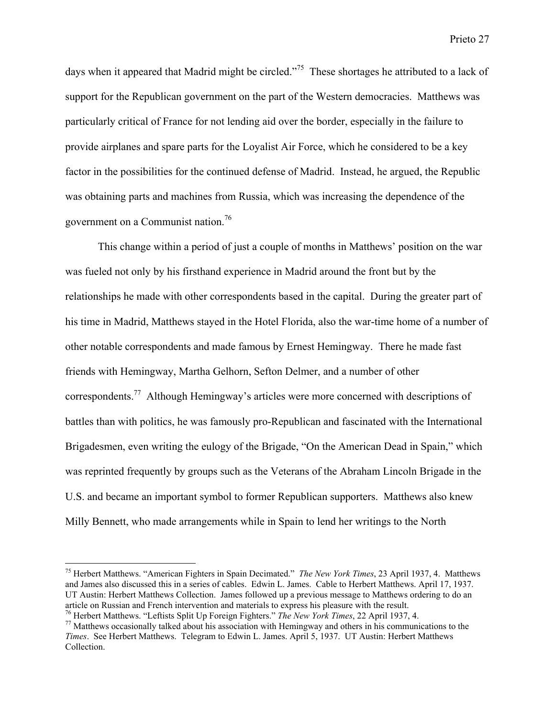days when it appeared that Madrid might be circled."<sup>75</sup> These shortages he attributed to a lack of support for the Republican government on the part of the Western democracies. Matthews was particularly critical of France for not lending aid over the border, especially in the failure to provide airplanes and spare parts for the Loyalist Air Force, which he considered to be a key factor in the possibilities for the continued defense of Madrid. Instead, he argued, the Republic was obtaining parts and machines from Russia, which was increasing the dependence of the government on a Communist nation.<sup>76</sup>

This change within a period of just a couple of months in Matthews' position on the war was fueled not only by his firsthand experience in Madrid around the front but by the relationships he made with other correspondents based in the capital. During the greater part of his time in Madrid, Matthews stayed in the Hotel Florida, also the war-time home of a number of other notable correspondents and made famous by Ernest Hemingway. There he made fast friends with Hemingway, Martha Gelhorn, Sefton Delmer, and a number of other correspondents.<sup>77</sup> Although Hemingway's articles were more concerned with descriptions of battles than with politics, he was famously pro-Republican and fascinated with the International Brigadesmen, even writing the eulogy of the Brigade, "On the American Dead in Spain," which was reprinted frequently by groups such as the Veterans of the Abraham Lincoln Brigade in the U.S. and became an important symbol to former Republican supporters. Matthews also knew Milly Bennett, who made arrangements while in Spain to lend her writings to the North

<sup>75</sup> Herbert Matthews. "American Fighters in Spain Decimated." *The New York Times*, 23 April 1937, 4. Matthews and James also discussed this in a series of cables. Edwin L. James. Cable to Herbert Matthews. April 17, 1937. UT Austin: Herbert Matthews Collection. James followed up a previous message to Matthews ordering to do an article on Russian and French intervention and materials to express his pleasure with the result.

<sup>&</sup>lt;sup>76</sup> Herbert Matthews. "Leftists Split Up Foreign Fighters." *The New York Times*, 22 April 1937, 4.<br><sup>77</sup> Motthews accessionally talked shout his accessition with Hamingway and others in his commun.

 $17$  Matthews occasionally talked about his association with Hemingway and others in his communications to the *Times*. See Herbert Matthews. Telegram to Edwin L. James. April 5, 1937. UT Austin: Herbert Matthews Collection.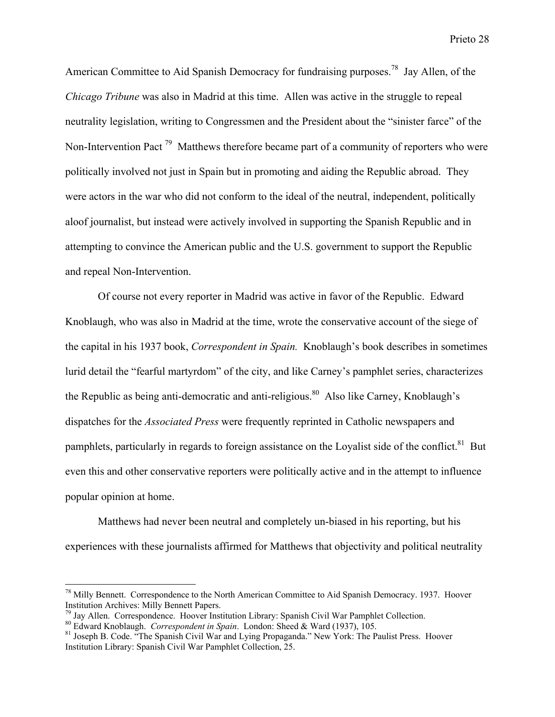American Committee to Aid Spanish Democracy for fundraising purposes.<sup>78</sup> Jay Allen, of the *Chicago Tribune* was also in Madrid at this time. Allen was active in the struggle to repeal neutrality legislation, writing to Congressmen and the President about the "sinister farce" of the Non-Intervention Pact<sup>79</sup> Matthews therefore became part of a community of reporters who were politically involved not just in Spain but in promoting and aiding the Republic abroad. They were actors in the war who did not conform to the ideal of the neutral, independent, politically aloof journalist, but instead were actively involved in supporting the Spanish Republic and in attempting to convince the American public and the U.S. government to support the Republic and repeal Non-Intervention.

Of course not every reporter in Madrid was active in favor of the Republic. Edward Knoblaugh, who was also in Madrid at the time, wrote the conservative account of the siege of the capital in his 1937 book, *Correspondent in Spain.* Knoblaugh's book describes in sometimes lurid detail the "fearful martyrdom" of the city, and like Carney's pamphlet series, characterizes the Republic as being anti-democratic and anti-religious.<sup>80</sup> Also like Carney, Knoblaugh's dispatches for the *Associated Press* were frequently reprinted in Catholic newspapers and pamphlets, particularly in regards to foreign assistance on the Loyalist side of the conflict.<sup>81</sup> But even this and other conservative reporters were politically active and in the attempt to influence popular opinion at home.

Matthews had never been neutral and completely un-biased in his reporting, but his experiences with these journalists affirmed for Matthews that objectivity and political neutrality

<sup>&</sup>lt;sup>78</sup> Milly Bennett. Correspondence to the North American Committee to Aid Spanish Democracy. 1937. Hoover Institution Archives: Milly Bennett Papers.

<sup>&</sup>lt;sup>79</sup> Jay Allen. Correspondence. Hoover Institution Library: Spanish Civil War Pamphlet Collection.

<sup>&</sup>lt;sup>80</sup> Edward Knoblaugh. *Correspondent in Spain*. London: Sheed & Ward (1937), 105.<br><sup>81</sup> Issanh B. Code. "The Spanish Civil Wer and Lying Propagande." Naw York: The B

<sup>&</sup>lt;sup>81</sup> Joseph B. Code. "The Spanish Civil War and Lying Propaganda." New York: The Paulist Press. Hoover Institution Library: Spanish Civil War Pamphlet Collection, 25.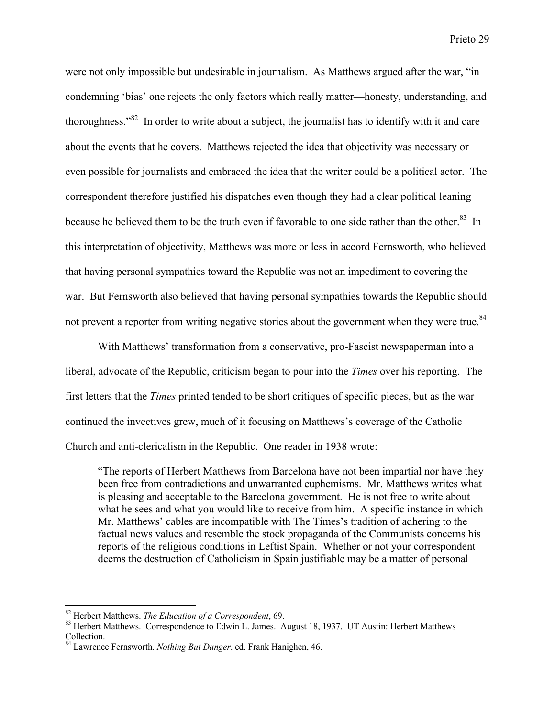were not only impossible but undesirable in journalism. As Matthews argued after the war, "in condemning 'bias' one rejects the only factors which really matter—honesty, understanding, and thoroughness."<sup>82</sup> In order to write about a subject, the journalist has to identify with it and care about the events that he covers. Matthews rejected the idea that objectivity was necessary or even possible for journalists and embraced the idea that the writer could be a political actor. The correspondent therefore justified his dispatches even though they had a clear political leaning because he believed them to be the truth even if favorable to one side rather than the other.<sup>83</sup> In this interpretation of objectivity, Matthews was more or less in accord Fernsworth, who believed that having personal sympathies toward the Republic was not an impediment to covering the war. But Fernsworth also believed that having personal sympathies towards the Republic should not prevent a reporter from writing negative stories about the government when they were true.<sup>84</sup>

With Matthews' transformation from a conservative, pro-Fascist newspaperman into a liberal, advocate of the Republic, criticism began to pour into the *Times* over his reporting. The first letters that the *Times* printed tended to be short critiques of specific pieces, but as the war continued the invectives grew, much of it focusing on Matthews's coverage of the Catholic Church and anti-clericalism in the Republic. One reader in 1938 wrote:

"The reports of Herbert Matthews from Barcelona have not been impartial nor have they been free from contradictions and unwarranted euphemisms. Mr. Matthews writes what is pleasing and acceptable to the Barcelona government. He is not free to write about what he sees and what you would like to receive from him. A specific instance in which Mr. Matthews' cables are incompatible with The Times's tradition of adhering to the factual news values and resemble the stock propaganda of the Communists concerns his reports of the religious conditions in Leftist Spain. Whether or not your correspondent deems the destruction of Catholicism in Spain justifiable may be a matter of personal

<sup>&</sup>lt;sup>82</sup> Herbert Matthews. *The Education of a Correspondent*, 69.<br><sup>83</sup> Herbert Matthews. *Correspondence* to Educin L. Jermes.

<sup>&</sup>lt;sup>83</sup> Herbert Matthews. Correspondence to Edwin L. James. August 18, 1937. UT Austin: Herbert Matthews Collection.

<sup>84</sup> Lawrence Fernsworth. *Nothing But Danger*. ed. Frank Hanighen, 46.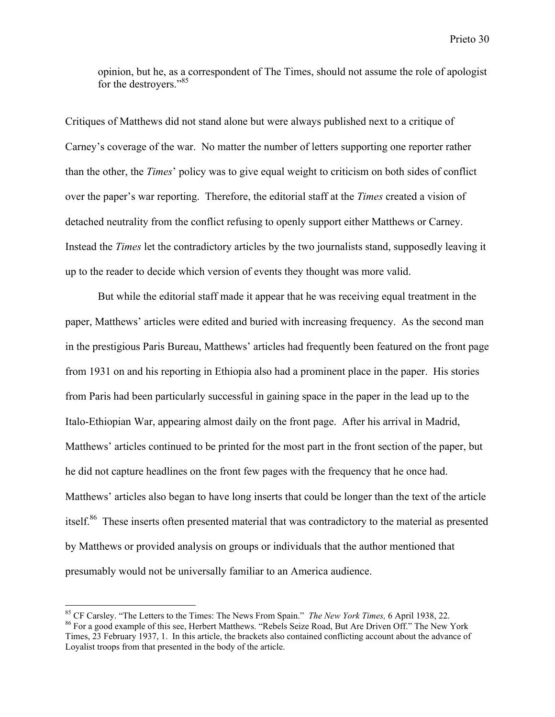opinion, but he, as a correspondent of The Times, should not assume the role of apologist for the destroyers."<sup>85</sup>

Critiques of Matthews did not stand alone but were always published next to a critique of Carney's coverage of the war. No matter the number of letters supporting one reporter rather than the other, the *Times*' policy was to give equal weight to criticism on both sides of conflict over the paper's war reporting. Therefore, the editorial staff at the *Times* created a vision of detached neutrality from the conflict refusing to openly support either Matthews or Carney. Instead the *Times* let the contradictory articles by the two journalists stand, supposedly leaving it up to the reader to decide which version of events they thought was more valid.

But while the editorial staff made it appear that he was receiving equal treatment in the paper, Matthews' articles were edited and buried with increasing frequency. As the second man in the prestigious Paris Bureau, Matthews' articles had frequently been featured on the front page from 1931 on and his reporting in Ethiopia also had a prominent place in the paper. His stories from Paris had been particularly successful in gaining space in the paper in the lead up to the Italo-Ethiopian War, appearing almost daily on the front page. After his arrival in Madrid, Matthews' articles continued to be printed for the most part in the front section of the paper, but he did not capture headlines on the front few pages with the frequency that he once had. Matthews' articles also began to have long inserts that could be longer than the text of the article itself.<sup>86</sup> These inserts often presented material that was contradictory to the material as presented by Matthews or provided analysis on groups or individuals that the author mentioned that presumably would not be universally familiar to an America audience.

<sup>&</sup>lt;sup>85</sup> CF Carsley. "The Letters to the Times: The News From Spain." *The New York Times*, 6 April 1938, 22.<br><sup>86</sup> Ear a good ayample of this see. Harbort Matthews, "Bobels Seize Bood, But Are Driven Off." The New For a good example of this see, Herbert Matthews. "Rebels Seize Road, But Are Driven Off." The New York Times, 23 February 1937, 1. In this article, the brackets also contained conflicting account about the advance of Loyalist troops from that presented in the body of the article.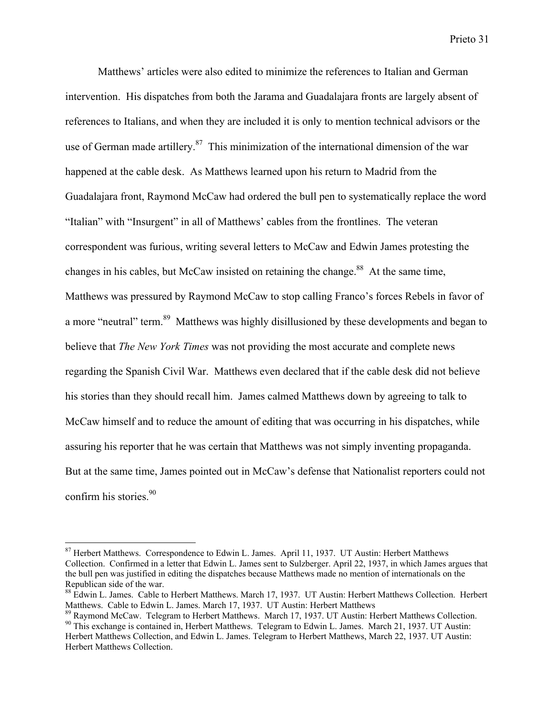Matthews' articles were also edited to minimize the references to Italian and German intervention. His dispatches from both the Jarama and Guadalajara fronts are largely absent of references to Italians, and when they are included it is only to mention technical advisors or the use of German made artillery.<sup>87</sup> This minimization of the international dimension of the war happened at the cable desk. As Matthews learned upon his return to Madrid from the Guadalajara front, Raymond McCaw had ordered the bull pen to systematically replace the word "Italian" with "Insurgent" in all of Matthews' cables from the frontlines. The veteran correspondent was furious, writing several letters to McCaw and Edwin James protesting the changes in his cables, but McCaw insisted on retaining the change.<sup>88</sup> At the same time, Matthews was pressured by Raymond McCaw to stop calling Franco's forces Rebels in favor of a more "neutral" term.<sup>89</sup> Matthews was highly disillusioned by these developments and began to believe that *The New York Times* was not providing the most accurate and complete news regarding the Spanish Civil War. Matthews even declared that if the cable desk did not believe his stories than they should recall him. James calmed Matthews down by agreeing to talk to McCaw himself and to reduce the amount of editing that was occurring in his dispatches, while assuring his reporter that he was certain that Matthews was not simply inventing propaganda. But at the same time, James pointed out in McCaw's defense that Nationalist reporters could not confirm his stories.<sup>90</sup>

<sup>&</sup>lt;sup>87</sup> Herbert Matthews. Correspondence to Edwin L. James. April 11, 1937. UT Austin: Herbert Matthews Collection. Confirmed in a letter that Edwin L. James sent to Sulzberger. April 22, 1937, in which James argues that the bull pen was justified in editing the dispatches because Matthews made no mention of internationals on the Republican side of the war.

<sup>88</sup> Edwin L. James. Cable to Herbert Matthews. March 17, 1937. UT Austin: Herbert Matthews Collection. Herbert Matthews. Cable to Edwin L. James. March 17, 1937. UT Austin: Herbert Matthews

<sup>&</sup>lt;sup>89</sup> Raymond McCaw. Telegram to Herbert Matthews. March 17, 1937. UT Austin: Herbert Matthews Collection. <sup>90</sup> This exchange is contained in, Herbert Matthews. Telegram to Edwin L. James. March 21, 1937. UT Austin:

Herbert Matthews Collection, and Edwin L. James. Telegram to Herbert Matthews, March 22, 1937. UT Austin: Herbert Matthews Collection.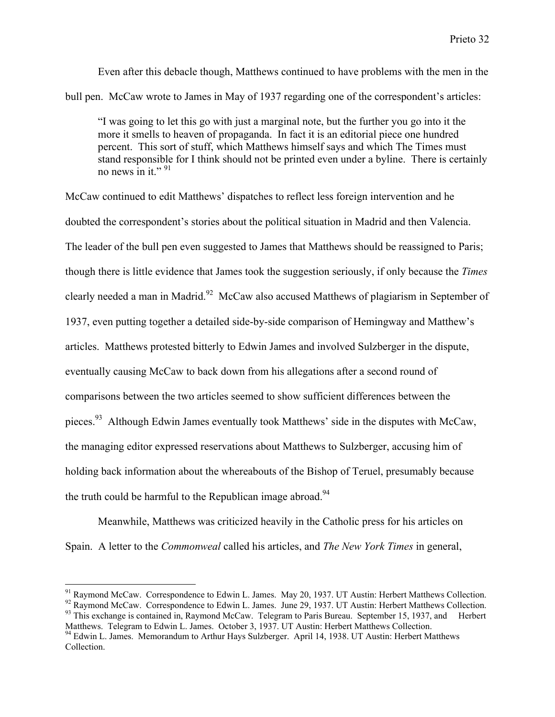Even after this debacle though, Matthews continued to have problems with the men in the bull pen. McCaw wrote to James in May of 1937 regarding one of the correspondent's articles:

"I was going to let this go with just a marginal note, but the further you go into it the more it smells to heaven of propaganda. In fact it is an editorial piece one hundred percent. This sort of stuff, which Matthews himself says and which The Times must stand responsible for I think should not be printed even under a byline. There is certainly no news in it."  $91$ 

McCaw continued to edit Matthews' dispatches to reflect less foreign intervention and he doubted the correspondent's stories about the political situation in Madrid and then Valencia. The leader of the bull pen even suggested to James that Matthews should be reassigned to Paris; though there is little evidence that James took the suggestion seriously, if only because the *Times* clearly needed a man in Madrid.<sup>92</sup> McCaw also accused Matthews of plagiarism in September of 1937, even putting together a detailed side-by-side comparison of Hemingway and Matthew's articles. Matthews protested bitterly to Edwin James and involved Sulzberger in the dispute, eventually causing McCaw to back down from his allegations after a second round of comparisons between the two articles seemed to show sufficient differences between the pieces.<sup>93</sup> Although Edwin James eventually took Matthews' side in the disputes with McCaw, the managing editor expressed reservations about Matthews to Sulzberger, accusing him of holding back information about the whereabouts of the Bishop of Teruel, presumably because the truth could be harmful to the Republican image abroad.<sup>94</sup>

Meanwhile, Matthews was criticized heavily in the Catholic press for his articles on Spain. A letter to the *Commonweal* called his articles, and *The New York Times* in general,

<sup>&</sup>lt;sup>91</sup> Raymond McCaw. Correspondence to Edwin L. James. May 20, 1937. UT Austin: Herbert Matthews Collection. <sup>92</sup> Raymond McCaw. Correspondence to Edwin L. James. June 29, 1937. UT Austin: Herbert Matthews Collection.

<sup>&</sup>lt;sup>93</sup> This exchange is contained in, Raymond McCaw. Telegram to Paris Bureau. September 15, 1937, and Herbert Matthews. Telegram to Edwin L. James. October 3, 1937. UT Austin: Herbert Matthews Collection.

<sup>&</sup>lt;sup>94</sup> Edwin L. James. Memorandum to Arthur Hays Sulzberger. April 14, 1938. UT Austin: Herbert Matthews Collection.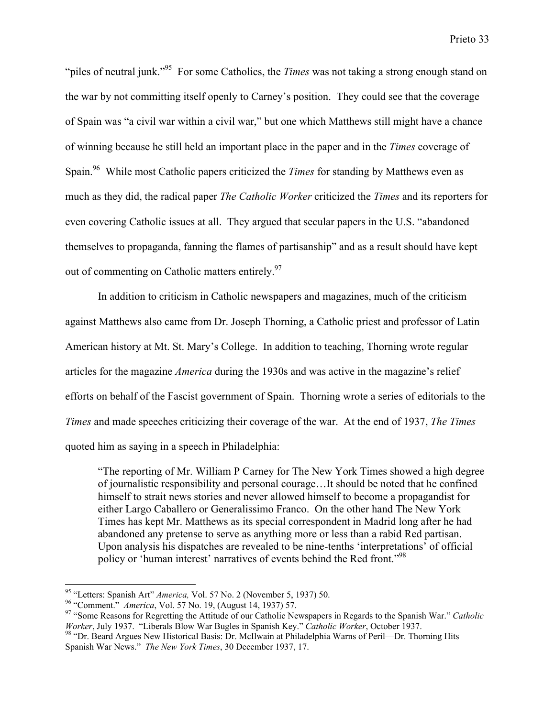"piles of neutral junk."<sup>95</sup> For some Catholics, the *Times* was not taking a strong enough stand on the war by not committing itself openly to Carney's position. They could see that the coverage of Spain was "a civil war within a civil war," but one which Matthews still might have a chance of winning because he still held an important place in the paper and in the *Times* coverage of Spain.<sup>96</sup> While most Catholic papers criticized the *Times* for standing by Matthews even as much as they did, the radical paper *The Catholic Worker* criticized the *Times* and its reporters for even covering Catholic issues at all. They argued that secular papers in the U.S. "abandoned themselves to propaganda, fanning the flames of partisanship" and as a result should have kept out of commenting on Catholic matters entirely.<sup>97</sup>

In addition to criticism in Catholic newspapers and magazines, much of the criticism against Matthews also came from Dr. Joseph Thorning, a Catholic priest and professor of Latin American history at Mt. St. Mary's College. In addition to teaching, Thorning wrote regular articles for the magazine *America* during the 1930s and was active in the magazine's relief efforts on behalf of the Fascist government of Spain. Thorning wrote a series of editorials to the *Times* and made speeches criticizing their coverage of the war. At the end of 1937, *The Times* quoted him as saying in a speech in Philadelphia:

"The reporting of Mr. William P Carney for The New York Times showed a high degree of journalistic responsibility and personal courage…It should be noted that he confined himself to strait news stories and never allowed himself to become a propagandist for either Largo Caballero or Generalissimo Franco. On the other hand The New York Times has kept Mr. Matthews as its special correspondent in Madrid long after he had abandoned any pretense to serve as anything more or less than a rabid Red partisan. Upon analysis his dispatches are revealed to be nine-tenths 'interpretations' of official policy or 'human interest' narratives of events behind the Red front."<sup>98</sup>

<sup>&</sup>lt;sup>95</sup> "Letters: Spanish Art" *America*, Vol. 57 No. 2 (November 5, 1937) 50.<br><sup>96</sup> "Comment", *America*, Vol. 57 No. 19, (Aygust 14, 1927) 57

<sup>&</sup>lt;sup>96</sup> "Comment." *America*, Vol. 57 No. 19, (August 14, 1937) 57.

<sup>&</sup>lt;sup>97</sup> "Some Reasons for Regretting the Attitude of our Catholic Newspapers in Regards to the Spanish War." *Catholic Worker*, July 1937. "Liberals Blow War Bugles in Spanish Key." *Catholic Worker*, October 1937.

<sup>&</sup>lt;sup>98</sup> "Dr. Beard Argues New Historical Basis: Dr. McIlwain at Philadelphia Warns of Peril—Dr. Thorning Hits Spanish War News." *The New York Times*, 30 December 1937, 17.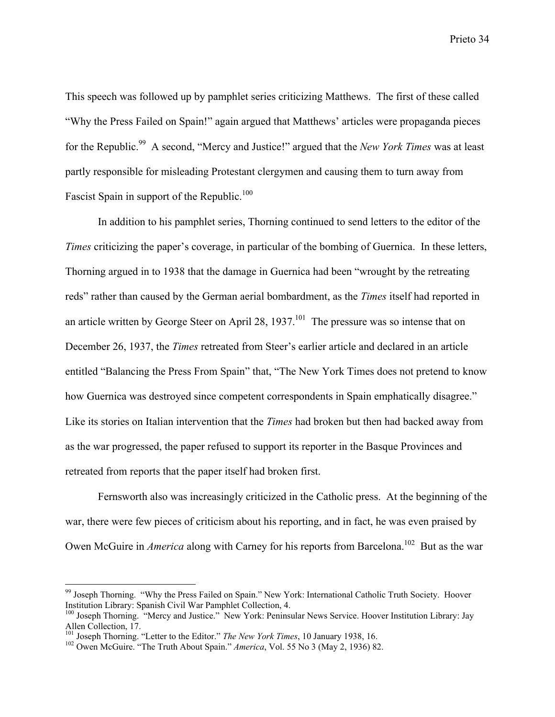This speech was followed up by pamphlet series criticizing Matthews. The first of these called "Why the Press Failed on Spain!" again argued that Matthews' articles were propaganda pieces for the Republic.<sup>99</sup> A second, "Mercy and Justice!" argued that the *New York Times* was at least partly responsible for misleading Protestant clergymen and causing them to turn away from Fascist Spain in support of the Republic.<sup>100</sup>

In addition to his pamphlet series, Thorning continued to send letters to the editor of the *Times* criticizing the paper's coverage, in particular of the bombing of Guernica. In these letters, Thorning argued in to 1938 that the damage in Guernica had been "wrought by the retreating reds" rather than caused by the German aerial bombardment, as the *Times* itself had reported in an article written by George Steer on April 28,  $1937$ .<sup>101</sup> The pressure was so intense that on December 26, 1937, the *Times* retreated from Steer's earlier article and declared in an article entitled "Balancing the Press From Spain" that, "The New York Times does not pretend to know how Guernica was destroyed since competent correspondents in Spain emphatically disagree." Like its stories on Italian intervention that the *Times* had broken but then had backed away from as the war progressed, the paper refused to support its reporter in the Basque Provinces and retreated from reports that the paper itself had broken first.

Fernsworth also was increasingly criticized in the Catholic press. At the beginning of the war, there were few pieces of criticism about his reporting, and in fact, he was even praised by Owen McGuire in *America* along with Carney for his reports from Barcelona.<sup>102</sup> But as the war

<sup>&</sup>lt;sup>99</sup> Joseph Thorning. "Why the Press Failed on Spain." New York: International Catholic Truth Society. Hoover Institution Library: Spanish Civil War Pamphlet Collection, 4.

<sup>&</sup>lt;sup>100</sup> Joseph Thorning. "Mercy and Justice." New York: Peninsular News Service. Hoover Institution Library: Jay Allen Collection, 17.

<sup>&</sup>lt;sup>101</sup> Joseph Thorning. "Letter to the Editor." *The New York Times*, 10 January 1938, 16.<br><sup>102</sup> Owen McGuire. "The Truth About Spain." America, Vol. 55 No. 3 (May 2, 1036) 8:

<sup>&</sup>lt;sup>102</sup> Owen McGuire. "The Truth About Spain." *America*, Vol. 55 No 3 (May 2, 1936) 82.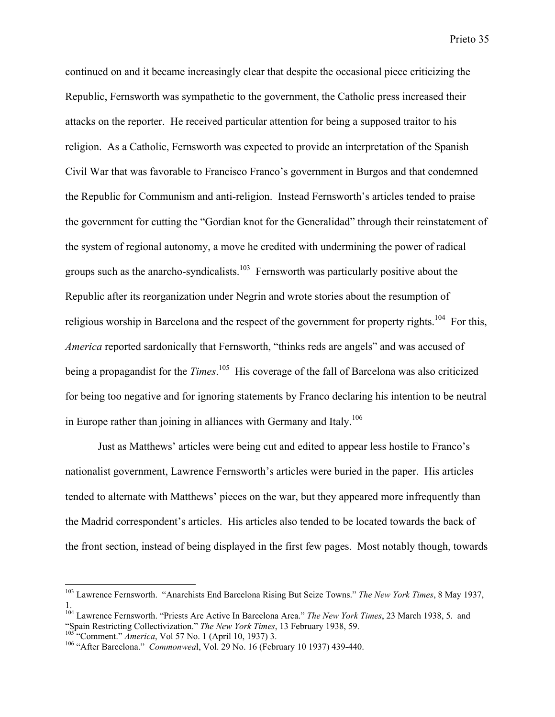continued on and it became increasingly clear that despite the occasional piece criticizing the Republic, Fernsworth was sympathetic to the government, the Catholic press increased their attacks on the reporter. He received particular attention for being a supposed traitor to his religion. As a Catholic, Fernsworth was expected to provide an interpretation of the Spanish Civil War that was favorable to Francisco Franco's government in Burgos and that condemned the Republic for Communism and anti-religion. Instead Fernsworth's articles tended to praise the government for cutting the "Gordian knot for the Generalidad" through their reinstatement of the system of regional autonomy, a move he credited with undermining the power of radical groups such as the anarcho-syndicalists.<sup>103</sup> Fernsworth was particularly positive about the Republic after its reorganization under Negrin and wrote stories about the resumption of religious worship in Barcelona and the respect of the government for property rights.<sup>104</sup> For this, *America* reported sardonically that Fernsworth, "thinks reds are angels" and was accused of being a propagandist for the *Times*.<sup>105</sup> His coverage of the fall of Barcelona was also criticized for being too negative and for ignoring statements by Franco declaring his intention to be neutral in Europe rather than joining in alliances with Germany and Italy.<sup>106</sup>

Just as Matthews' articles were being cut and edited to appear less hostile to Franco's nationalist government, Lawrence Fernsworth's articles were buried in the paper. His articles tended to alternate with Matthews' pieces on the war, but they appeared more infrequently than the Madrid correspondent's articles. His articles also tended to be located towards the back of the front section, instead of being displayed in the first few pages. Most notably though, towards

 103 Lawrence Fernsworth. "Anarchists End Barcelona Rising But Seize Towns." *The New York Times*, 8 May 1937,

<sup>1.</sup> 104 Lawrence Fernsworth. "Priests Are Active In Barcelona Area." *The New York Times*, 23 March 1938, 5. and "Spain Restricting Collectivization." *The New York Times*, 13 February 1938, 59. <sup>105</sup> "Comment." *America*, Vol 57 No. 1 (April 10, 1937) 3.

<sup>&</sup>lt;sup>106</sup> "After Barcelona." *Commonweal*, Vol. 29 No. 16 (February 10 1937) 439-440.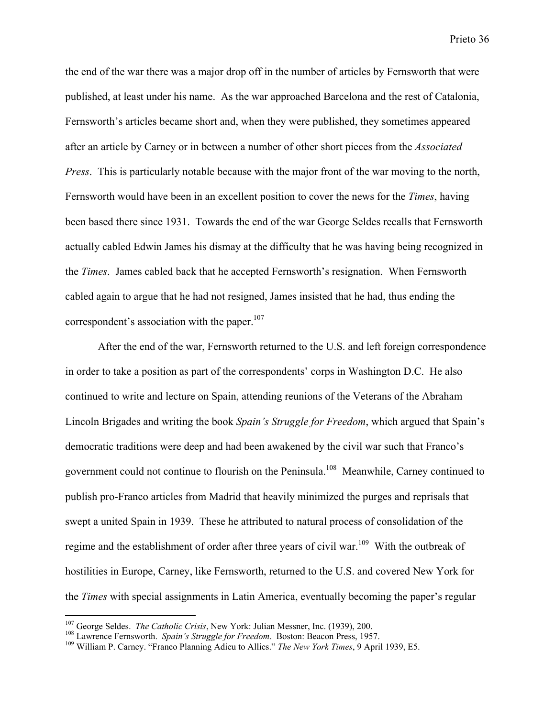the end of the war there was a major drop off in the number of articles by Fernsworth that were published, at least under his name. As the war approached Barcelona and the rest of Catalonia, Fernsworth's articles became short and, when they were published, they sometimes appeared after an article by Carney or in between a number of other short pieces from the *Associated Press*. This is particularly notable because with the major front of the war moving to the north, Fernsworth would have been in an excellent position to cover the news for the *Times*, having been based there since 1931. Towards the end of the war George Seldes recalls that Fernsworth actually cabled Edwin James his dismay at the difficulty that he was having being recognized in the *Times*. James cabled back that he accepted Fernsworth's resignation. When Fernsworth cabled again to argue that he had not resigned, James insisted that he had, thus ending the correspondent's association with the paper. $107$ 

After the end of the war, Fernsworth returned to the U.S. and left foreign correspondence in order to take a position as part of the correspondents' corps in Washington D.C. He also continued to write and lecture on Spain, attending reunions of the Veterans of the Abraham Lincoln Brigades and writing the book *Spain's Struggle for Freedom*, which argued that Spain's democratic traditions were deep and had been awakened by the civil war such that Franco's government could not continue to flourish on the Peninsula.<sup>108</sup> Meanwhile, Carney continued to publish pro-Franco articles from Madrid that heavily minimized the purges and reprisals that swept a united Spain in 1939. These he attributed to natural process of consolidation of the regime and the establishment of order after three years of civil war.<sup>109</sup> With the outbreak of hostilities in Europe, Carney, like Fernsworth, returned to the U.S. and covered New York for the *Times* with special assignments in Latin America, eventually becoming the paper's regular

<sup>&</sup>lt;sup>107</sup> George Seldes. *The Catholic Crisis*, New York: Julian Messner, Inc. (1939), 200.<br><sup>108</sup> Laurange Fernsworth *Spain's Struggle for Engelorn*, Bestor: Bessen Press, 195

<sup>&</sup>lt;sup>108</sup> Lawrence Fernsworth. *Spain's Struggle for Freedom*. Boston: Beacon Press, 1957.

William P. Carney. "Franco Planning Adieu to Allies." *The New York Times*, 9 April 1939, E5.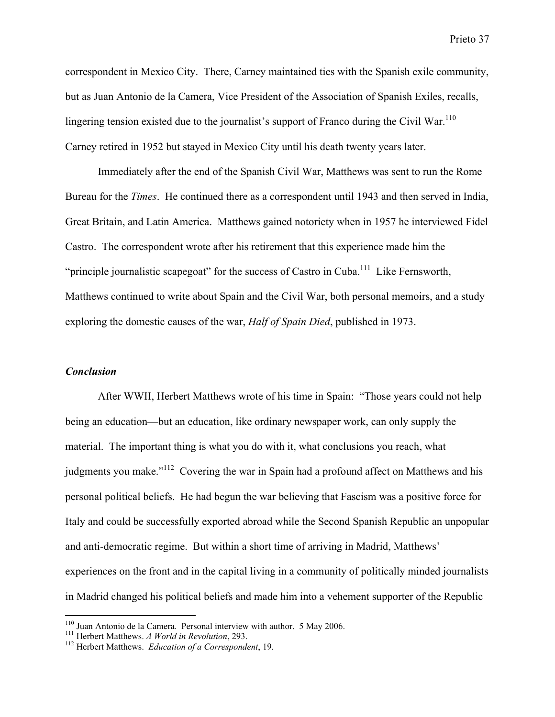correspondent in Mexico City. There, Carney maintained ties with the Spanish exile community, but as Juan Antonio de la Camera, Vice President of the Association of Spanish Exiles, recalls, lingering tension existed due to the journalist's support of Franco during the Civil War.<sup>110</sup> Carney retired in 1952 but stayed in Mexico City until his death twenty years later.

Immediately after the end of the Spanish Civil War, Matthews was sent to run the Rome Bureau for the *Times*. He continued there as a correspondent until 1943 and then served in India, Great Britain, and Latin America. Matthews gained notoriety when in 1957 he interviewed Fidel Castro. The correspondent wrote after his retirement that this experience made him the "principle journalistic scapegoat" for the success of Castro in Cuba.<sup>111</sup> Like Fernsworth, Matthews continued to write about Spain and the Civil War, both personal memoirs, and a study exploring the domestic causes of the war, *Half of Spain Died*, published in 1973.

### *Conclusion*

After WWII, Herbert Matthews wrote of his time in Spain: "Those years could not help being an education—but an education, like ordinary newspaper work, can only supply the material. The important thing is what you do with it, what conclusions you reach, what judgments you make."<sup>112</sup> Covering the war in Spain had a profound affect on Matthews and his personal political beliefs. He had begun the war believing that Fascism was a positive force for Italy and could be successfully exported abroad while the Second Spanish Republic an unpopular and anti-democratic regime. But within a short time of arriving in Madrid, Matthews' experiences on the front and in the capital living in a community of politically minded journalists in Madrid changed his political beliefs and made him into a vehement supporter of the Republic

<sup>&</sup>lt;sup>110</sup> Juan Antonio de la Camera. Personal interview with author. 5 May 2006.

<sup>&</sup>lt;sup>111</sup> Herbert Matthews. *A World in Revolution*, 293.

<sup>&</sup>lt;sup>112</sup> Herbert Matthews. *Education of a Correspondent*, 19.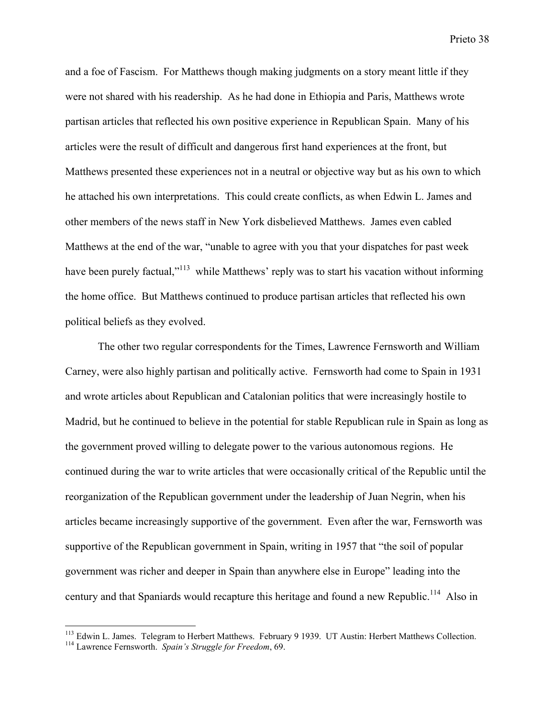and a foe of Fascism. For Matthews though making judgments on a story meant little if they were not shared with his readership. As he had done in Ethiopia and Paris, Matthews wrote partisan articles that reflected his own positive experience in Republican Spain. Many of his articles were the result of difficult and dangerous first hand experiences at the front, but Matthews presented these experiences not in a neutral or objective way but as his own to which he attached his own interpretations. This could create conflicts, as when Edwin L. James and other members of the news staff in New York disbelieved Matthews. James even cabled Matthews at the end of the war, "unable to agree with you that your dispatches for past week have been purely factual,"<sup>113</sup> while Matthews' reply was to start his vacation without informing the home office. But Matthews continued to produce partisan articles that reflected his own political beliefs as they evolved.

The other two regular correspondents for the Times, Lawrence Fernsworth and William Carney, were also highly partisan and politically active. Fernsworth had come to Spain in 1931 and wrote articles about Republican and Catalonian politics that were increasingly hostile to Madrid, but he continued to believe in the potential for stable Republican rule in Spain as long as the government proved willing to delegate power to the various autonomous regions. He continued during the war to write articles that were occasionally critical of the Republic until the reorganization of the Republican government under the leadership of Juan Negrin, when his articles became increasingly supportive of the government. Even after the war, Fernsworth was supportive of the Republican government in Spain, writing in 1957 that "the soil of popular government was richer and deeper in Spain than anywhere else in Europe" leading into the century and that Spaniards would recapture this heritage and found a new Republic.<sup>114</sup> Also in

<sup>&</sup>lt;sup>113</sup> Edwin L. James. Telegram to Herbert Matthews. February 9 1939. UT Austin: Herbert Matthews Collection.<br><sup>114</sup> Laurence Fernsworth, Sp*ain's Struggla for Engelary*, 60.

Lawrence Fernsworth. *Spain's Struggle for Freedom*, 69.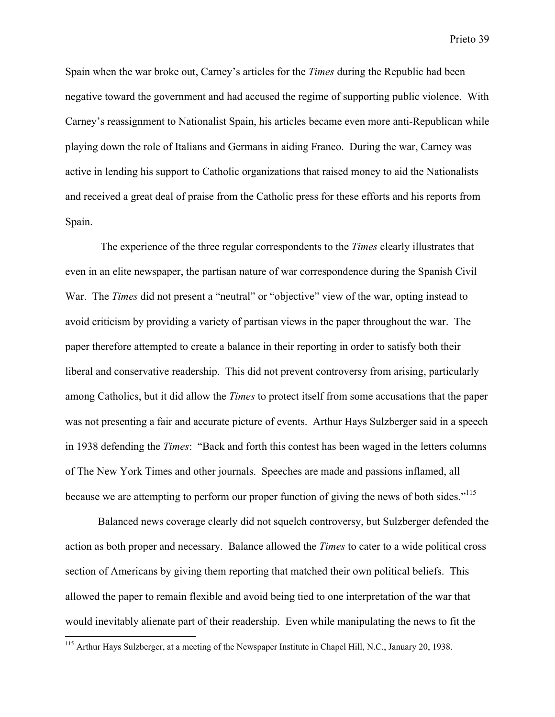Spain when the war broke out, Carney's articles for the *Times* during the Republic had been negative toward the government and had accused the regime of supporting public violence. With Carney's reassignment to Nationalist Spain, his articles became even more anti-Republican while playing down the role of Italians and Germans in aiding Franco. During the war, Carney was active in lending his support to Catholic organizations that raised money to aid the Nationalists and received a great deal of praise from the Catholic press for these efforts and his reports from Spain.

 The experience of the three regular correspondents to the *Times* clearly illustrates that even in an elite newspaper, the partisan nature of war correspondence during the Spanish Civil War. The *Times* did not present a "neutral" or "objective" view of the war, opting instead to avoid criticism by providing a variety of partisan views in the paper throughout the war. The paper therefore attempted to create a balance in their reporting in order to satisfy both their liberal and conservative readership. This did not prevent controversy from arising, particularly among Catholics, but it did allow the *Times* to protect itself from some accusations that the paper was not presenting a fair and accurate picture of events. Arthur Hays Sulzberger said in a speech in 1938 defending the *Times*: "Back and forth this contest has been waged in the letters columns of The New York Times and other journals. Speeches are made and passions inflamed, all because we are attempting to perform our proper function of giving the news of both sides."<sup>115</sup>

Balanced news coverage clearly did not squelch controversy, but Sulzberger defended the action as both proper and necessary. Balance allowed the *Times* to cater to a wide political cross section of Americans by giving them reporting that matched their own political beliefs. This allowed the paper to remain flexible and avoid being tied to one interpretation of the war that would inevitably alienate part of their readership. Even while manipulating the news to fit the

<sup>&</sup>lt;sup>115</sup> Arthur Hays Sulzberger, at a meeting of the Newspaper Institute in Chapel Hill, N.C., January 20, 1938.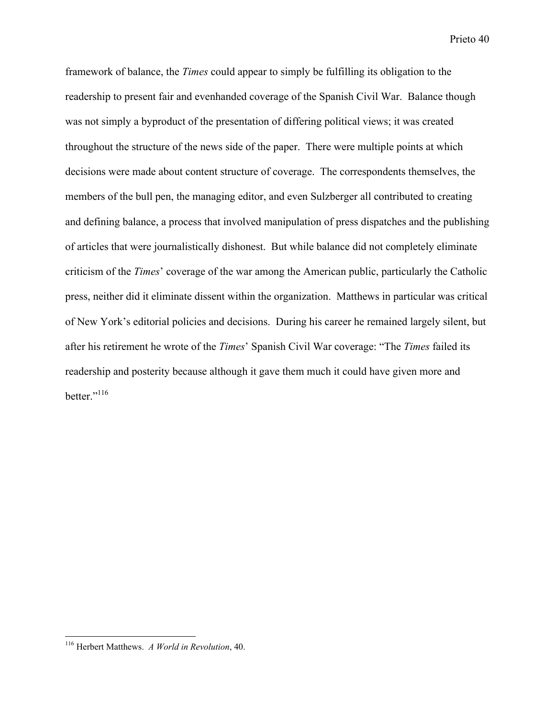framework of balance, the *Times* could appear to simply be fulfilling its obligation to the readership to present fair and evenhanded coverage of the Spanish Civil War. Balance though was not simply a byproduct of the presentation of differing political views; it was created throughout the structure of the news side of the paper. There were multiple points at which decisions were made about content structure of coverage. The correspondents themselves, the members of the bull pen, the managing editor, and even Sulzberger all contributed to creating and defining balance, a process that involved manipulation of press dispatches and the publishing of articles that were journalistically dishonest. But while balance did not completely eliminate criticism of the *Times*' coverage of the war among the American public, particularly the Catholic press, neither did it eliminate dissent within the organization. Matthews in particular was critical of New York's editorial policies and decisions. During his career he remained largely silent, but after his retirement he wrote of the *Times*' Spanish Civil War coverage: "The *Times* failed its readership and posterity because although it gave them much it could have given more and better."<sup>116</sup>

 116 Herbert Matthews. *A World in Revolution*, 40.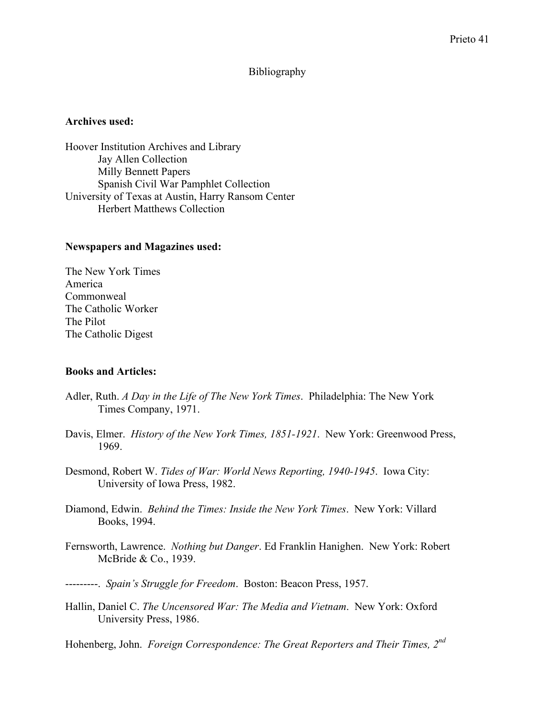## Bibliography

### Archives used:

Hoover Institution Archives and Library Jay Allen Collection Milly Bennett Papers Spanish Civil War Pamphlet Collection University of Texas at Austin, Harry Ransom Center Herbert Matthews Collection

## Newspapers and Magazines used:

The New York Times America Commonweal The Catholic Worker The Pilot The Catholic Digest

## Books and Articles:

- Adler, Ruth. *A Day in the Life of The New York Times*. Philadelphia: The New York Times Company, 1971.
- Davis, Elmer. *History of the New York Times, 1851-1921*. New York: Greenwood Press, 1969.
- Desmond, Robert W. *Tides of War: World News Reporting, 1940-1945*. Iowa City: University of Iowa Press, 1982.
- Diamond, Edwin. *Behind the Times: Inside the New York Times*. New York: Villard Books, 1994.
- Fernsworth, Lawrence. *Nothing but Danger*. Ed Franklin Hanighen. New York: Robert McBride & Co., 1939.
- ---------. *Spain's Struggle for Freedom*. Boston: Beacon Press, 1957.
- Hallin, Daniel C. *The Uncensored War: The Media and Vietnam*. New York: Oxford University Press, 1986.

Hohenberg, John. *Foreign Correspondence: The Great Reporters and Their Times, 2nd*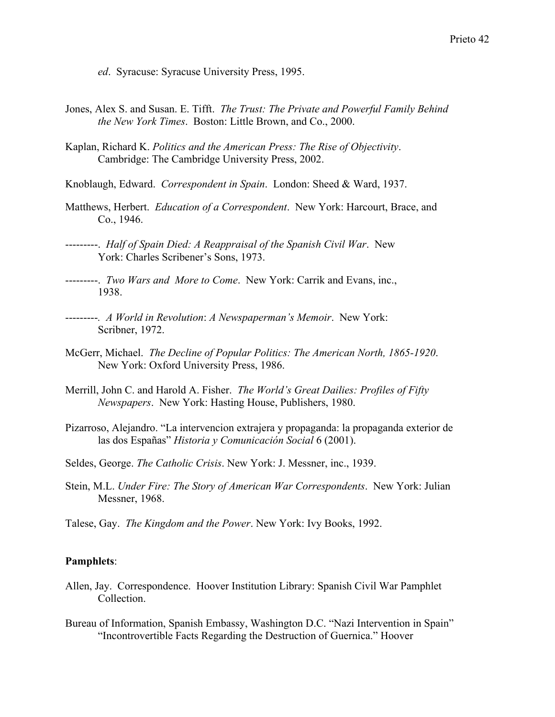*ed*. Syracuse: Syracuse University Press, 1995.

- Jones, Alex S. and Susan. E. Tifft. *The Trust: The Private and Powerful Family Behind the New York Times*. Boston: Little Brown, and Co., 2000.
- Kaplan, Richard K. *Politics and the American Press: The Rise of Objectivity*. Cambridge: The Cambridge University Press, 2002.
- Knoblaugh, Edward. *Correspondent in Spain*. London: Sheed & Ward, 1937.
- Matthews, Herbert. *Education of a Correspondent*. New York: Harcourt, Brace, and Co., 1946.
- ---------. *Half of Spain Died: A Reappraisal of the Spanish Civil War*. New York: Charles Scribener's Sons, 1973.
- ---------. *Two Wars and More to Come*. New York: Carrik and Evans, inc., 1938.
- ---------*. A World in Revolution*: *A Newspaperman's Memoir*. New York: Scribner, 1972.
- McGerr, Michael. *The Decline of Popular Politics: The American North, 1865-1920*. New York: Oxford University Press, 1986.
- Merrill, John C. and Harold A. Fisher. *The World's Great Dailies: Profiles of Fifty Newspapers*. New York: Hasting House, Publishers, 1980.
- Pizarroso, Alejandro. "La intervencion extrajera y propaganda: la propaganda exterior de las dos Españas" *Historia y Comunicación Social* 6 (2001).
- Seldes, George. *The Catholic Crisis*. New York: J. Messner, inc., 1939.
- Stein, M.L. *Under Fire: The Story of American War Correspondents*. New York: Julian Messner, 1968.
- Talese, Gay. *The Kingdom and the Power*. New York: Ivy Books, 1992.

### Pamphlets:

- Allen, Jay. Correspondence. Hoover Institution Library: Spanish Civil War Pamphlet Collection.
- Bureau of Information, Spanish Embassy, Washington D.C. "Nazi Intervention in Spain" "Incontrovertible Facts Regarding the Destruction of Guernica." Hoover